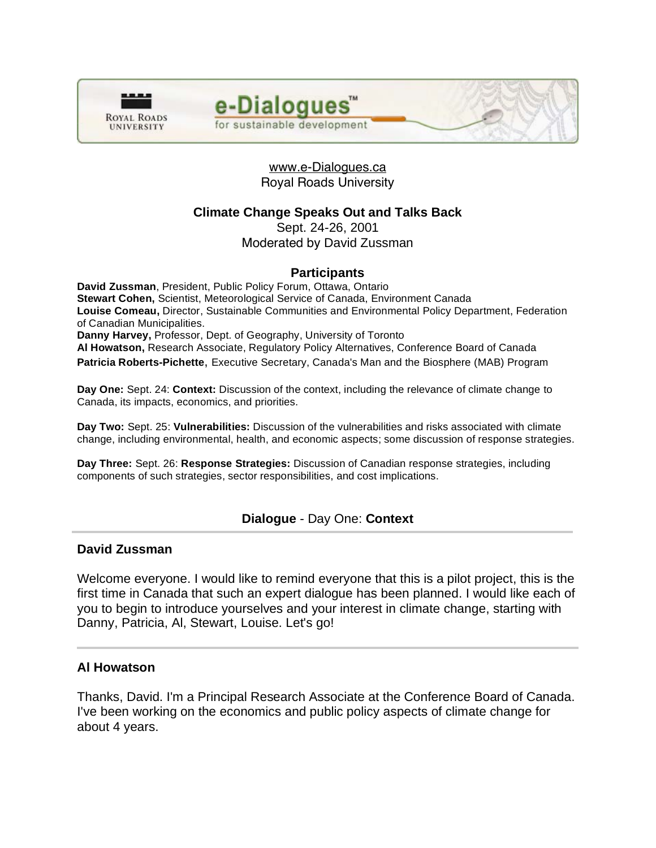

e-Dialogues for sustainable development

# www.e-Dialogues.ca Royal Roads University

# **Climate Change Speaks Out and Talks Back**

Sept. 24-26, 2001 Moderated by David Zussman

# **Participants**

**David Zussman**, President, Public Policy Forum, Ottawa, Ontario **Stewart Cohen,** Scientist, Meteorological Service of Canada, Environment Canada **Louise Comeau,** Director, Sustainable Communities and Environmental Policy Department, Federation of Canadian Municipalities. **Danny Harvey,** Professor, Dept. of Geography, University of Toronto **Al Howatson,** Research Associate, Regulatory Policy Alternatives, Conference Board of Canada **Patricia Roberts-Pichette**, Executive Secretary, Canada's Man and the Biosphere (MAB) Program

**Day One:** Sept. 24: **Context:** Discussion of the context, including the relevance of climate change to Canada, its impacts, economics, and priorities.

**Day Two:** Sept. 25: **Vulnerabilities:** Discussion of the vulnerabilities and risks associated with climate change, including environmental, health, and economic aspects; some discussion of response strategies.

**Day Three:** Sept. 26: **Response Strategies:** Discussion of Canadian response strategies, including components of such strategies, sector responsibilities, and cost implications.

## **Dialogue** - Day One: **Context**

### **David Zussman**

Welcome everyone. I would like to remind everyone that this is a pilot project, this is the first time in Canada that such an expert dialogue has been planned. I would like each of you to begin to introduce yourselves and your interest in climate change, starting with Danny, Patricia, Al, Stewart, Louise. Let's go!

## **Al Howatson**

Ī

Thanks, David. I'm a Principal Research Associate at the Conference Board of Canada. I've been working on the economics and public policy aspects of climate change for about 4 years.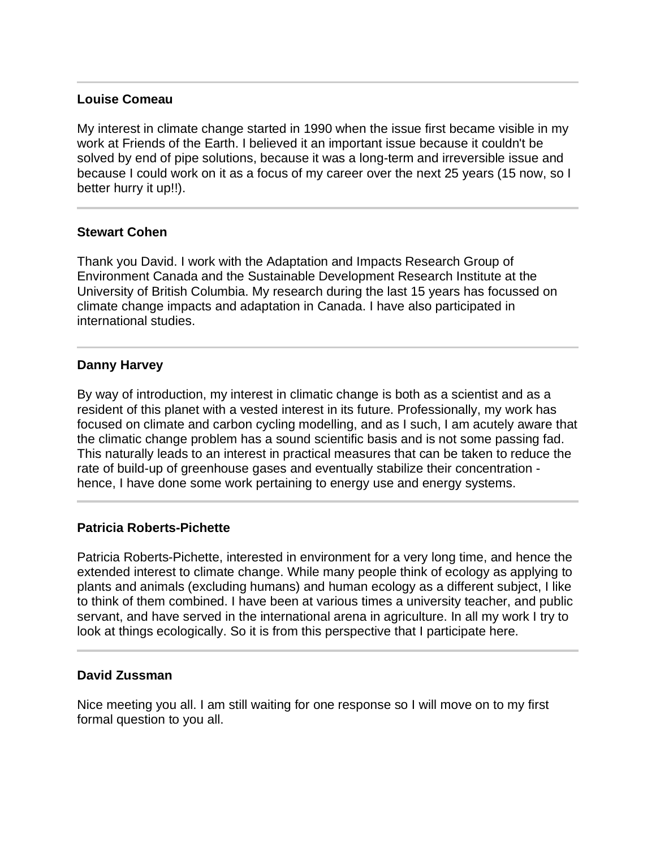## **Louise Comeau**

My interest in climate change started in 1990 when the issue first became visible in my work at Friends of the Earth. I believed it an important issue because it couldn't be solved by end of pipe solutions, because it was a long-term and irreversible issue and because I could work on it as a focus of my career over the next 25 years (15 now, so I better hurry it up!!).

## **Stewart Cohen**

l

I

Thank you David. I work with the Adaptation and Impacts Research Group of Environment Canada and the Sustainable Development Research Institute at the University of British Columbia. My research during the last 15 years has focussed on climate change impacts and adaptation in Canada. I have also participated in international studies.

## **Danny Harvey**

By way of introduction, my interest in climatic change is both as a scientist and as a resident of this planet with a vested interest in its future. Professionally, my work has focused on climate and carbon cycling modelling, and as I such, I am acutely aware that the climatic change problem has a sound scientific basis and is not some passing fad. This naturally leads to an interest in practical measures that can be taken to reduce the rate of build-up of greenhouse gases and eventually stabilize their concentration hence, I have done some work pertaining to energy use and energy systems.

### **Patricia Roberts-Pichette**

Patricia Roberts-Pichette, interested in environment for a very long time, and hence the extended interest to climate change. While many people think of ecology as applying to plants and animals (excluding humans) and human ecology as a different subject, I like to think of them combined. I have been at various times a university teacher, and public servant, and have served in the international arena in agriculture. In all my work I try to look at things ecologically. So it is from this perspective that I participate here.

### **David Zussman**

l

Nice meeting you all. I am still waiting for one response so I will move on to my first formal question to you all.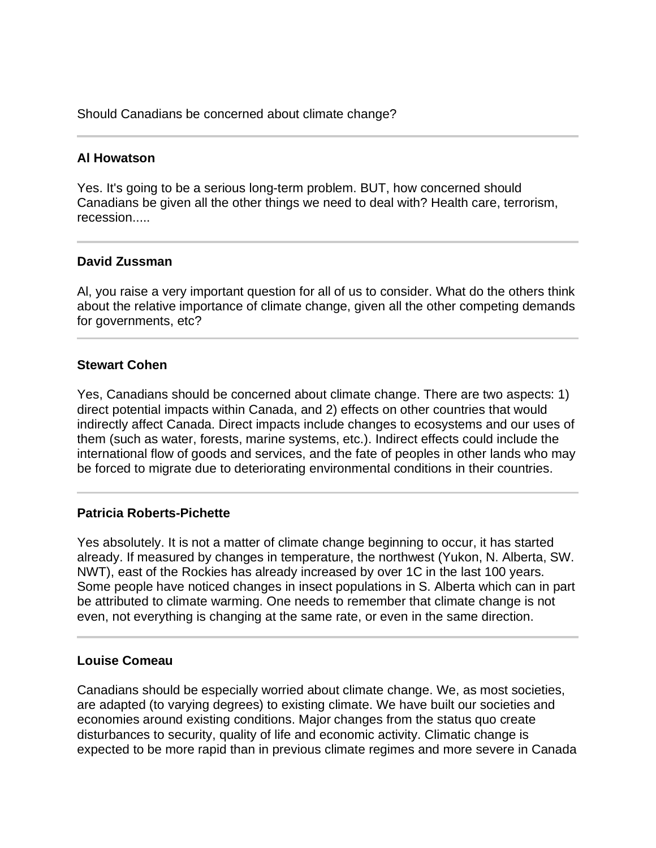Should Canadians be concerned about climate change?

## **Al Howatson**

Yes. It's going to be a serious long-term problem. BUT, how concerned should Canadians be given all the other things we need to deal with? Health care, terrorism, recession.....

## **David Zussman**

Ī

Al, you raise a very important question for all of us to consider. What do the others think about the relative importance of climate change, given all the other competing demands for governments, etc?

## **Stewart Cohen**

Yes, Canadians should be concerned about climate change. There are two aspects: 1) direct potential impacts within Canada, and 2) effects on other countries that would indirectly affect Canada. Direct impacts include changes to ecosystems and our uses of them (such as water, forests, marine systems, etc.). Indirect effects could include the international flow of goods and services, and the fate of peoples in other lands who may be forced to migrate due to deteriorating environmental conditions in their countries.

#### Ī **Patricia Roberts-Pichette**

Yes absolutely. It is not a matter of climate change beginning to occur, it has started already. If measured by changes in temperature, the northwest (Yukon, N. Alberta, SW. NWT), east of the Rockies has already increased by over 1C in the last 100 years. Some people have noticed changes in insect populations in S. Alberta which can in part be attributed to climate warming. One needs to remember that climate change is not even, not everything is changing at the same rate, or even in the same direction.

### **Louise Comeau**

l

Canadians should be especially worried about climate change. We, as most societies, are adapted (to varying degrees) to existing climate. We have built our societies and economies around existing conditions. Major changes from the status quo create disturbances to security, quality of life and economic activity. Climatic change is expected to be more rapid than in previous climate regimes and more severe in Canada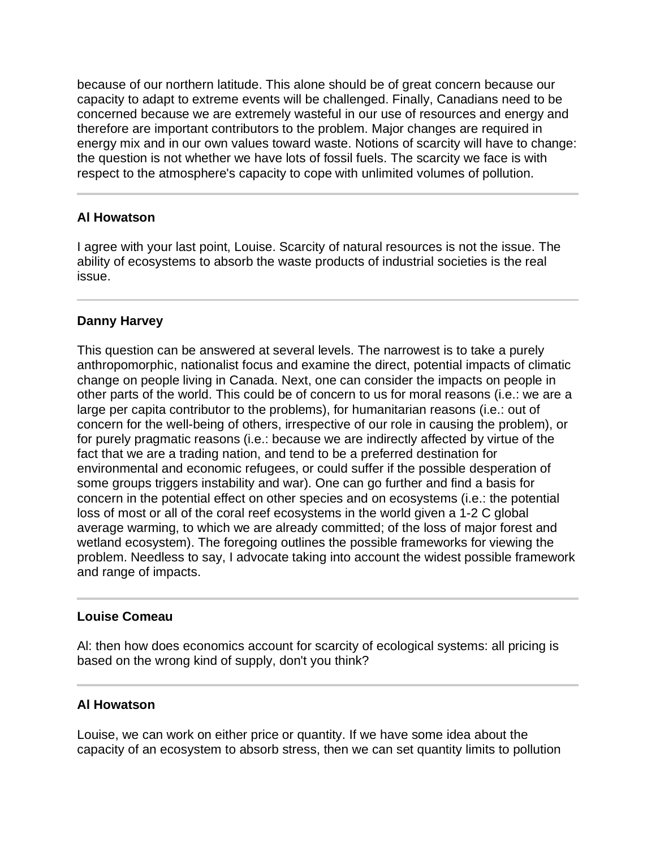because of our northern latitude. This alone should be of great concern because our capacity to adapt to extreme events will be challenged. Finally, Canadians need to be concerned because we are extremely wasteful in our use of resources and energy and therefore are important contributors to the problem. Major changes are required in energy mix and in our own values toward waste. Notions of scarcity will have to change: the question is not whether we have lots of fossil fuels. The scarcity we face is with respect to the atmosphere's capacity to cope with unlimited volumes of pollution.

## **Al Howatson**

l

I agree with your last point, Louise. Scarcity of natural resources is not the issue. The ability of ecosystems to absorb the waste products of industrial societies is the real issue.

## **Danny Harvey**

This question can be answered at several levels. The narrowest is to take a purely anthropomorphic, nationalist focus and examine the direct, potential impacts of climatic change on people living in Canada. Next, one can consider the impacts on people in other parts of the world. This could be of concern to us for moral reasons (i.e.: we are a large per capita contributor to the problems), for humanitarian reasons (i.e.: out of concern for the well-being of others, irrespective of our role in causing the problem), or for purely pragmatic reasons (i.e.: because we are indirectly affected by virtue of the fact that we are a trading nation, and tend to be a preferred destination for environmental and economic refugees, or could suffer if the possible desperation of some groups triggers instability and war). One can go further and find a basis for concern in the potential effect on other species and on ecosystems (i.e.: the potential loss of most or all of the coral reef ecosystems in the world given a 1-2 C global average warming, to which we are already committed; of the loss of major forest and wetland ecosystem). The foregoing outlines the possible frameworks for viewing the problem. Needless to say, I advocate taking into account the widest possible framework and range of impacts.

### **Louise Comeau**

I

Ī

Al: then how does economics account for scarcity of ecological systems: all pricing is based on the wrong kind of supply, don't you think?

### **Al Howatson**

Louise, we can work on either price or quantity. If we have some idea about the capacity of an ecosystem to absorb stress, then we can set quantity limits to pollution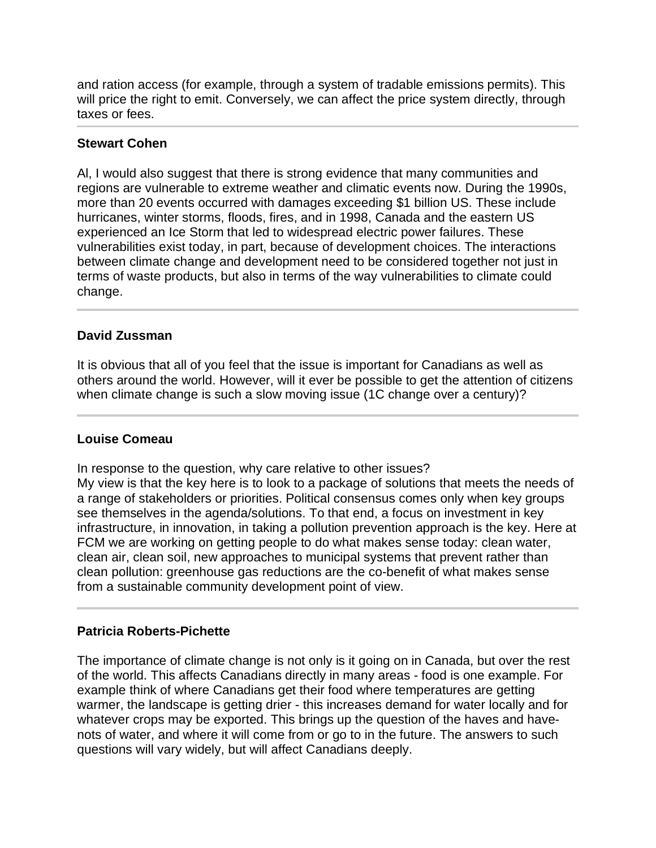and ration access (for example, through a system of tradable emissions permits). This will price the right to emit. Conversely, we can affect the price system directly, through taxes or fees.

## **Stewart Cohen**

Al, I would also suggest that there is strong evidence that many communities and regions are vulnerable to extreme weather and climatic events now. During the 1990s, more than 20 events occurred with damages exceeding \$1 billion US. These include hurricanes, winter storms, floods, fires, and in 1998, Canada and the eastern US experienced an Ice Storm that led to widespread electric power failures. These vulnerabilities exist today, in part, because of development choices. The interactions between climate change and development need to be considered together not just in terms of waste products, but also in terms of the way vulnerabilities to climate could change.

## **David Zussman**

 $\overline{a}$ 

l

 $\overline{a}$ 

It is obvious that all of you feel that the issue is important for Canadians as well as others around the world. However, will it ever be possible to get the attention of citizens when climate change is such a slow moving issue (1C change over a century)?

### **Louise Comeau**

In response to the question, why care relative to other issues? My view is that the key here is to look to a package of solutions that meets the needs of a range of stakeholders or priorities. Political consensus comes only when key groups see themselves in the agenda/solutions. To that end, a focus on investment in key infrastructure, in innovation, in taking a pollution prevention approach is the key. Here at FCM we are working on getting people to do what makes sense today: clean water, clean air, clean soil, new approaches to municipal systems that prevent rather than clean pollution: greenhouse gas reductions are the co-benefit of what makes sense from a sustainable community development point of view.

## **Patricia Roberts-Pichette**

The importance of climate change is not only is it going on in Canada, but over the rest of the world. This affects Canadians directly in many areas - food is one example. For example think of where Canadians get their food where temperatures are getting warmer, the landscape is getting drier - this increases demand for water locally and for whatever crops may be exported. This brings up the question of the haves and havenots of water, and where it will come from or go to in the future. The answers to such questions will vary widely, but will affect Canadians deeply.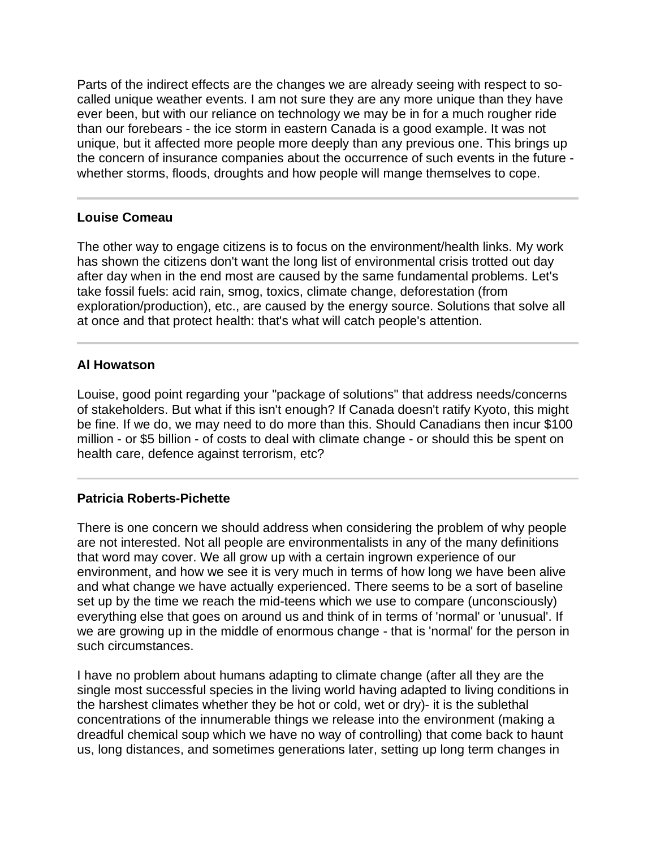Parts of the indirect effects are the changes we are already seeing with respect to socalled unique weather events. I am not sure they are any more unique than they have ever been, but with our reliance on technology we may be in for a much rougher ride than our forebears - the ice storm in eastern Canada is a good example. It was not unique, but it affected more people more deeply than any previous one. This brings up the concern of insurance companies about the occurrence of such events in the future whether storms, floods, droughts and how people will mange themselves to cope.

## **Louise Comeau**

I

I

The other way to engage citizens is to focus on the environment/health links. My work has shown the citizens don't want the long list of environmental crisis trotted out day after day when in the end most are caused by the same fundamental problems. Let's take fossil fuels: acid rain, smog, toxics, climate change, deforestation (from exploration/production), etc., are caused by the energy source. Solutions that solve all at once and that protect health: that's what will catch people's attention.

## **Al Howatson**

Louise, good point regarding your "package of solutions" that address needs/concerns of stakeholders. But what if this isn't enough? If Canada doesn't ratify Kyoto, this might be fine. If we do, we may need to do more than this. Should Canadians then incur \$100 million - or \$5 billion - of costs to deal with climate change - or should this be spent on health care, defence against terrorism, etc?

## **Patricia Roberts-Pichette**

There is one concern we should address when considering the problem of why people are not interested. Not all people are environmentalists in any of the many definitions that word may cover. We all grow up with a certain ingrown experience of our environment, and how we see it is very much in terms of how long we have been alive and what change we have actually experienced. There seems to be a sort of baseline set up by the time we reach the mid-teens which we use to compare (unconsciously) everything else that goes on around us and think of in terms of 'normal' or 'unusual'. If we are growing up in the middle of enormous change - that is 'normal' for the person in such circumstances.

I have no problem about humans adapting to climate change (after all they are the single most successful species in the living world having adapted to living conditions in the harshest climates whether they be hot or cold, wet or dry)- it is the sublethal concentrations of the innumerable things we release into the environment (making a dreadful chemical soup which we have no way of controlling) that come back to haunt us, long distances, and sometimes generations later, setting up long term changes in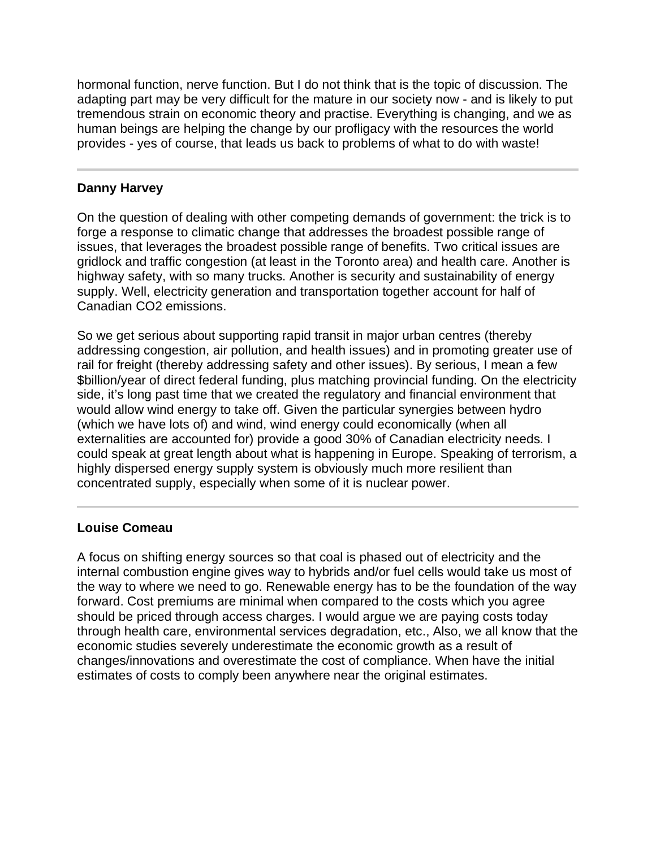hormonal function, nerve function. But I do not think that is the topic of discussion. The adapting part may be very difficult for the mature in our society now - and is likely to put tremendous strain on economic theory and practise. Everything is changing, and we as human beings are helping the change by our profligacy with the resources the world provides - yes of course, that leads us back to problems of what to do with waste!

## **Danny Harvey**

I

On the question of dealing with other competing demands of government: the trick is to forge a response to climatic change that addresses the broadest possible range of issues, that leverages the broadest possible range of benefits. Two critical issues are gridlock and traffic congestion (at least in the Toronto area) and health care. Another is highway safety, with so many trucks. Another is security and sustainability of energy supply. Well, electricity generation and transportation together account for half of Canadian CO2 emissions.

So we get serious about supporting rapid transit in major urban centres (thereby addressing congestion, air pollution, and health issues) and in promoting greater use of rail for freight (thereby addressing safety and other issues). By serious, I mean a few \$billion/year of direct federal funding, plus matching provincial funding. On the electricity side, it's long past time that we created the regulatory and financial environment that would allow wind energy to take off. Given the particular synergies between hydro (which we have lots of) and wind, wind energy could economically (when all externalities are accounted for) provide a good 30% of Canadian electricity needs. I could speak at great length about what is happening in Europe. Speaking of terrorism, a highly dispersed energy supply system is obviously much more resilient than concentrated supply, especially when some of it is nuclear power.

## **Louise Comeau**

A focus on shifting energy sources so that coal is phased out of electricity and the internal combustion engine gives way to hybrids and/or fuel cells would take us most of the way to where we need to go. Renewable energy has to be the foundation of the way forward. Cost premiums are minimal when compared to the costs which you agree should be priced through access charges. I would argue we are paying costs today through health care, environmental services degradation, etc., Also, we all know that the economic studies severely underestimate the economic growth as a result of changes/innovations and overestimate the cost of compliance. When have the initial estimates of costs to comply been anywhere near the original estimates.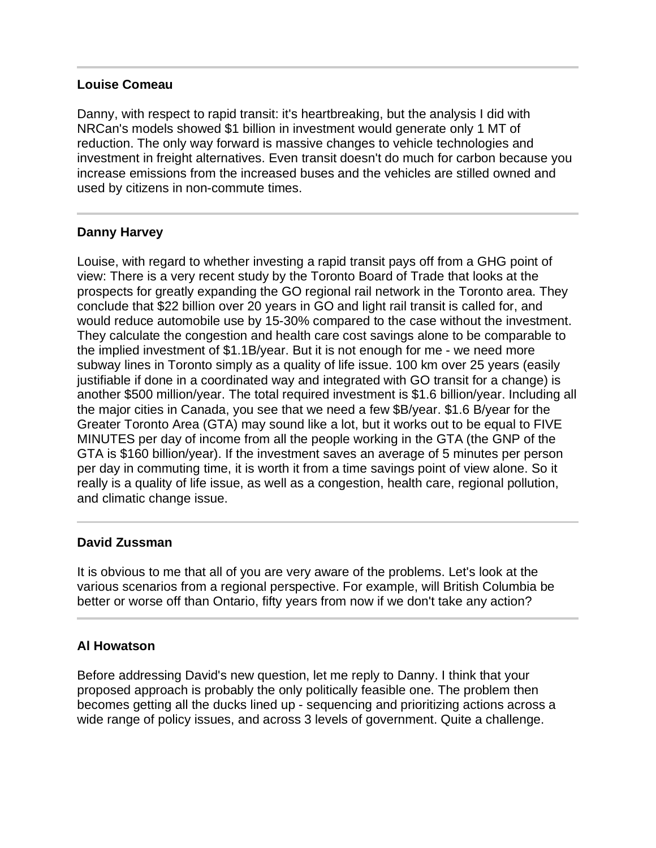## **Louise Comeau**

Danny, with respect to rapid transit: it's heartbreaking, but the analysis I did with NRCan's models showed \$1 billion in investment would generate only 1 MT of reduction. The only way forward is massive changes to vehicle technologies and investment in freight alternatives. Even transit doesn't do much for carbon because you increase emissions from the increased buses and the vehicles are stilled owned and used by citizens in non-commute times.

## **Danny Harvey**

I

Louise, with regard to whether investing a rapid transit pays off from a GHG point of view: There is a very recent study by the Toronto Board of Trade that looks at the prospects for greatly expanding the GO regional rail network in the Toronto area. They conclude that \$22 billion over 20 years in GO and light rail transit is called for, and would reduce automobile use by 15-30% compared to the case without the investment. They calculate the congestion and health care cost savings alone to be comparable to the implied investment of \$1.1B/year. But it is not enough for me - we need more subway lines in Toronto simply as a quality of life issue. 100 km over 25 years (easily justifiable if done in a coordinated way and integrated with GO transit for a change) is another \$500 million/year. The total required investment is \$1.6 billion/year. Including all the major cities in Canada, you see that we need a few \$B/year. \$1.6 B/year for the Greater Toronto Area (GTA) may sound like a lot, but it works out to be equal to FIVE MINUTES per day of income from all the people working in the GTA (the GNP of the GTA is \$160 billion/year). If the investment saves an average of 5 minutes per person per day in commuting time, it is worth it from a time savings point of view alone. So it really is a quality of life issue, as well as a congestion, health care, regional pollution, and climatic change issue.

#### Ī **David Zussman**

It is obvious to me that all of you are very aware of the problems. Let's look at the various scenarios from a regional perspective. For example, will British Columbia be better or worse off than Ontario, fifty years from now if we don't take any action?

### **Al Howatson**

l

Before addressing David's new question, let me reply to Danny. I think that your proposed approach is probably the only politically feasible one. The problem then becomes getting all the ducks lined up - sequencing and prioritizing actions across a wide range of policy issues, and across 3 levels of government. Quite a challenge.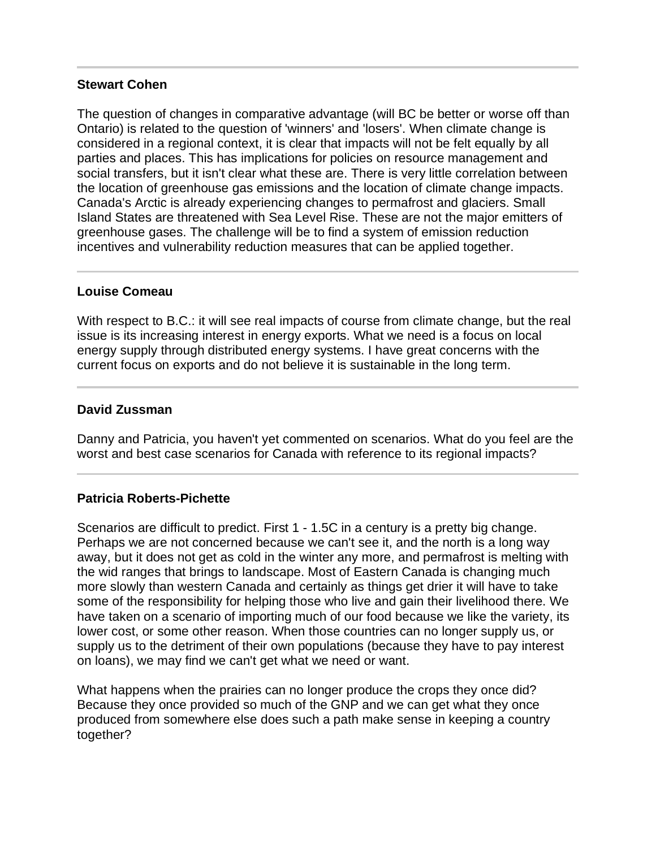## **Stewart Cohen**

The question of changes in comparative advantage (will BC be better or worse off than Ontario) is related to the question of 'winners' and 'losers'. When climate change is considered in a regional context, it is clear that impacts will not be felt equally by all parties and places. This has implications for policies on resource management and social transfers, but it isn't clear what these are. There is very little correlation between the location of greenhouse gas emissions and the location of climate change impacts. Canada's Arctic is already experiencing changes to permafrost and glaciers. Small Island States are threatened with Sea Level Rise. These are not the major emitters of greenhouse gases. The challenge will be to find a system of emission reduction incentives and vulnerability reduction measures that can be applied together.

## **Louise Comeau**

Ī

l

With respect to B.C.: it will see real impacts of course from climate change, but the real issue is its increasing interest in energy exports. What we need is a focus on local energy supply through distributed energy systems. I have great concerns with the current focus on exports and do not believe it is sustainable in the long term.

## **David Zussman**

Danny and Patricia, you haven't yet commented on scenarios. What do you feel are the worst and best case scenarios for Canada with reference to its regional impacts?

## **Patricia Roberts-Pichette**

Scenarios are difficult to predict. First 1 - 1.5C in a century is a pretty big change. Perhaps we are not concerned because we can't see it, and the north is a long way away, but it does not get as cold in the winter any more, and permafrost is melting with the wid ranges that brings to landscape. Most of Eastern Canada is changing much more slowly than western Canada and certainly as things get drier it will have to take some of the responsibility for helping those who live and gain their livelihood there. We have taken on a scenario of importing much of our food because we like the variety, its lower cost, or some other reason. When those countries can no longer supply us, or supply us to the detriment of their own populations (because they have to pay interest on loans), we may find we can't get what we need or want.

What happens when the prairies can no longer produce the crops they once did? Because they once provided so much of the GNP and we can get what they once produced from somewhere else does such a path make sense in keeping a country together?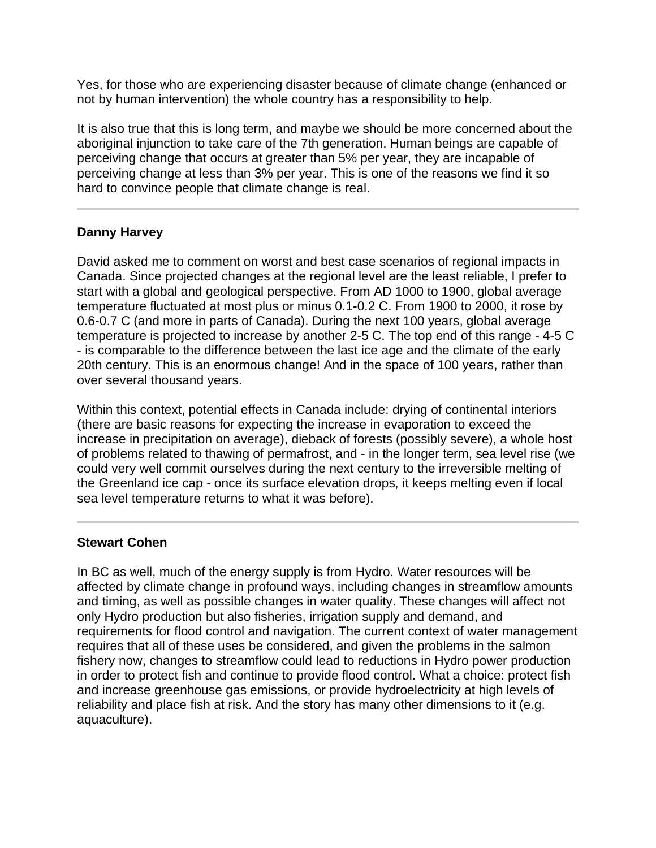Yes, for those who are experiencing disaster because of climate change (enhanced or not by human intervention) the whole country has a responsibility to help.

It is also true that this is long term, and maybe we should be more concerned about the aboriginal injunction to take care of the 7th generation. Human beings are capable of perceiving change that occurs at greater than 5% per year, they are incapable of perceiving change at less than 3% per year. This is one of the reasons we find it so hard to convince people that climate change is real.

# **Danny Harvey**

 $\overline{a}$ 

David asked me to comment on worst and best case scenarios of regional impacts in Canada. Since projected changes at the regional level are the least reliable, I prefer to start with a global and geological perspective. From AD 1000 to 1900, global average temperature fluctuated at most plus or minus 0.1-0.2 C. From 1900 to 2000, it rose by 0.6-0.7 C (and more in parts of Canada). During the next 100 years, global average temperature is projected to increase by another 2-5 C. The top end of this range - 4-5 C - is comparable to the difference between the last ice age and the climate of the early 20th century. This is an enormous change! And in the space of 100 years, rather than over several thousand years.

Within this context, potential effects in Canada include: drying of continental interiors (there are basic reasons for expecting the increase in evaporation to exceed the increase in precipitation on average), dieback of forests (possibly severe), a whole host of problems related to thawing of permafrost, and - in the longer term, sea level rise (we could very well commit ourselves during the next century to the irreversible melting of the Greenland ice cap - once its surface elevation drops, it keeps melting even if local sea level temperature returns to what it was before).

## **Stewart Cohen**

Ī

In BC as well, much of the energy supply is from Hydro. Water resources will be affected by climate change in profound ways, including changes in streamflow amounts and timing, as well as possible changes in water quality. These changes will affect not only Hydro production but also fisheries, irrigation supply and demand, and requirements for flood control and navigation. The current context of water management requires that all of these uses be considered, and given the problems in the salmon fishery now, changes to streamflow could lead to reductions in Hydro power production in order to protect fish and continue to provide flood control. What a choice: protect fish and increase greenhouse gas emissions, or provide hydroelectricity at high levels of reliability and place fish at risk. And the story has many other dimensions to it (e.g. aquaculture).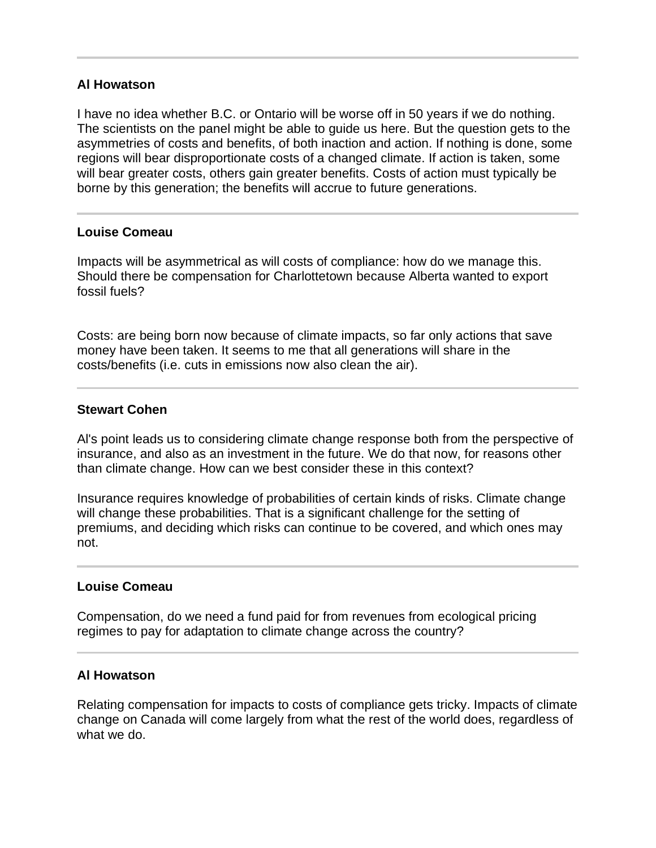## **Al Howatson**

I have no idea whether B.C. or Ontario will be worse off in 50 years if we do nothing. The scientists on the panel might be able to guide us here. But the question gets to the asymmetries of costs and benefits, of both inaction and action. If nothing is done, some regions will bear disproportionate costs of a changed climate. If action is taken, some will bear greater costs, others gain greater benefits. Costs of action must typically be borne by this generation; the benefits will accrue to future generations.

## **Louise Comeau**

I

Impacts will be asymmetrical as will costs of compliance: how do we manage this. Should there be compensation for Charlottetown because Alberta wanted to export fossil fuels?

Costs: are being born now because of climate impacts, so far only actions that save money have been taken. It seems to me that all generations will share in the costs/benefits (i.e. cuts in emissions now also clean the air).

## **Stewart Cohen**

Al's point leads us to considering climate change response both from the perspective of insurance, and also as an investment in the future. We do that now, for reasons other than climate change. How can we best consider these in this context?

Insurance requires knowledge of probabilities of certain kinds of risks. Climate change will change these probabilities. That is a significant challenge for the setting of premiums, and deciding which risks can continue to be covered, and which ones may not.

### **Louise Comeau**

Ī

 $\overline{a}$ 

Compensation, do we need a fund paid for from revenues from ecological pricing regimes to pay for adaptation to climate change across the country?

### **Al Howatson**

Relating compensation for impacts to costs of compliance gets tricky. Impacts of climate change on Canada will come largely from what the rest of the world does, regardless of what we do.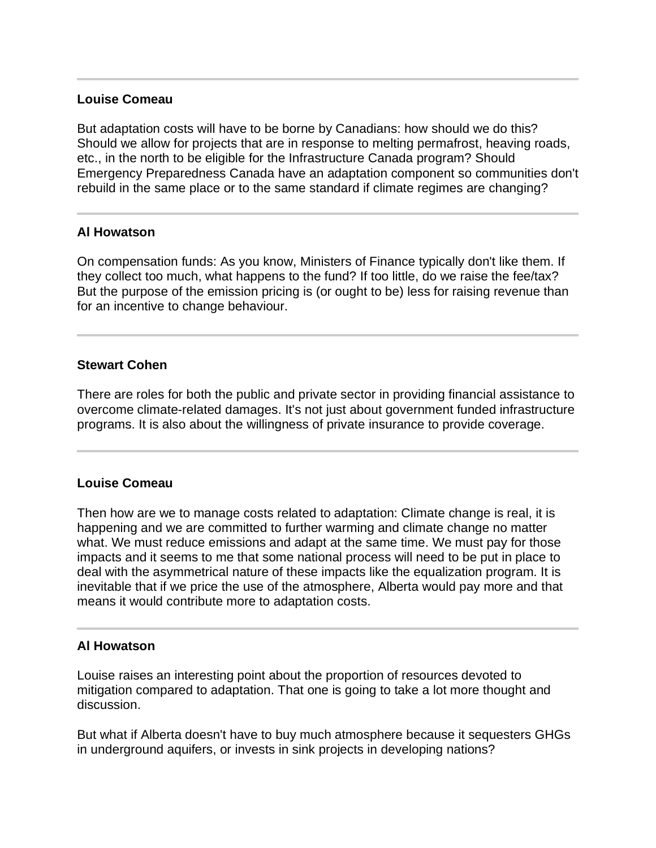## **Louise Comeau**

Ī

I

But adaptation costs will have to be borne by Canadians: how should we do this? Should we allow for projects that are in response to melting permafrost, heaving roads, etc., in the north to be eligible for the Infrastructure Canada program? Should Emergency Preparedness Canada have an adaptation component so communities don't rebuild in the same place or to the same standard if climate regimes are changing?

### **Al Howatson**

On compensation funds: As you know, Ministers of Finance typically don't like them. If they collect too much, what happens to the fund? If too little, do we raise the fee/tax? But the purpose of the emission pricing is (or ought to be) less for raising revenue than for an incentive to change behaviour.

## **Stewart Cohen**

There are roles for both the public and private sector in providing financial assistance to overcome climate-related damages. It's not just about government funded infrastructure programs. It is also about the willingness of private insurance to provide coverage.

## **Louise Comeau**

Then how are we to manage costs related to adaptation: Climate change is real, it is happening and we are committed to further warming and climate change no matter what. We must reduce emissions and adapt at the same time. We must pay for those impacts and it seems to me that some national process will need to be put in place to deal with the asymmetrical nature of these impacts like the equalization program. It is inevitable that if we price the use of the atmosphere, Alberta would pay more and that means it would contribute more to adaptation costs.

### **Al Howatson**

j

Louise raises an interesting point about the proportion of resources devoted to mitigation compared to adaptation. That one is going to take a lot more thought and discussion.

But what if Alberta doesn't have to buy much atmosphere because it sequesters GHGs in underground aquifers, or invests in sink projects in developing nations?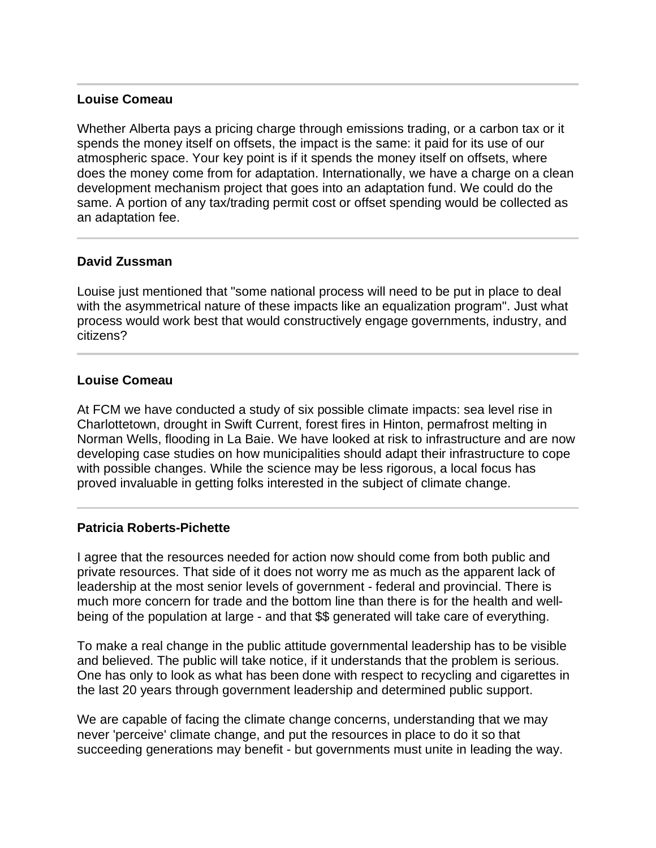## **Louise Comeau**

Whether Alberta pays a pricing charge through emissions trading, or a carbon tax or it spends the money itself on offsets, the impact is the same: it paid for its use of our atmospheric space. Your key point is if it spends the money itself on offsets, where does the money come from for adaptation. Internationally, we have a charge on a clean development mechanism project that goes into an adaptation fund. We could do the same. A portion of any tax/trading permit cost or offset spending would be collected as an adaptation fee.

## **David Zussman**

l

 $\overline{a}$ 

I

Louise just mentioned that "some national process will need to be put in place to deal with the asymmetrical nature of these impacts like an equalization program". Just what process would work best that would constructively engage governments, industry, and citizens?

## **Louise Comeau**

At FCM we have conducted a study of six possible climate impacts: sea level rise in Charlottetown, drought in Swift Current, forest fires in Hinton, permafrost melting in Norman Wells, flooding in La Baie. We have looked at risk to infrastructure and are now developing case studies on how municipalities should adapt their infrastructure to cope with possible changes. While the science may be less rigorous, a local focus has proved invaluable in getting folks interested in the subject of climate change.

## **Patricia Roberts-Pichette**

I agree that the resources needed for action now should come from both public and private resources. That side of it does not worry me as much as the apparent lack of leadership at the most senior levels of government - federal and provincial. There is much more concern for trade and the bottom line than there is for the health and wellbeing of the population at large - and that \$\$ generated will take care of everything.

To make a real change in the public attitude governmental leadership has to be visible and believed. The public will take notice, if it understands that the problem is serious. One has only to look as what has been done with respect to recycling and cigarettes in the last 20 years through government leadership and determined public support.

We are capable of facing the climate change concerns, understanding that we may never 'perceive' climate change, and put the resources in place to do it so that succeeding generations may benefit - but governments must unite in leading the way.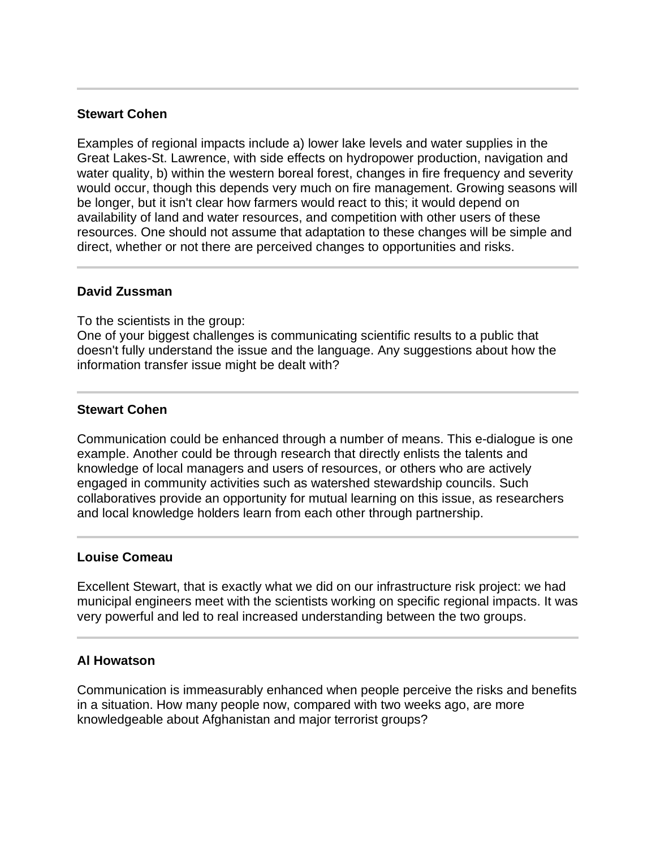## **Stewart Cohen**

Examples of regional impacts include a) lower lake levels and water supplies in the Great Lakes-St. Lawrence, with side effects on hydropower production, navigation and water quality, b) within the western boreal forest, changes in fire frequency and severity would occur, though this depends very much on fire management. Growing seasons will be longer, but it isn't clear how farmers would react to this; it would depend on availability of land and water resources, and competition with other users of these resources. One should not assume that adaptation to these changes will be simple and direct, whether or not there are perceived changes to opportunities and risks.

### **David Zussman**

l

j

To the scientists in the group:

One of your biggest challenges is communicating scientific results to a public that doesn't fully understand the issue and the language. Any suggestions about how the information transfer issue might be dealt with?

### **Stewart Cohen**

Communication could be enhanced through a number of means. This e-dialogue is one example. Another could be through research that directly enlists the talents and knowledge of local managers and users of resources, or others who are actively engaged in community activities such as watershed stewardship councils. Such collaboratives provide an opportunity for mutual learning on this issue, as researchers and local knowledge holders learn from each other through partnership.

### **Louise Comeau**

Excellent Stewart, that is exactly what we did on our infrastructure risk project: we had municipal engineers meet with the scientists working on specific regional impacts. It was very powerful and led to real increased understanding between the two groups.

### **Al Howatson**

Communication is immeasurably enhanced when people perceive the risks and benefits in a situation. How many people now, compared with two weeks ago, are more knowledgeable about Afghanistan and major terrorist groups?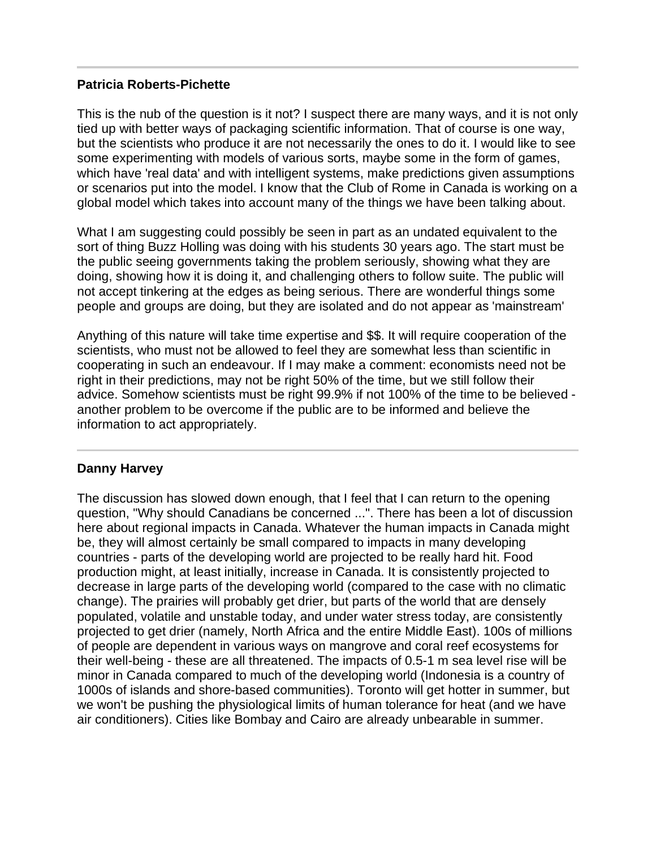## **Patricia Roberts-Pichette**

This is the nub of the question is it not? I suspect there are many ways, and it is not only tied up with better ways of packaging scientific information. That of course is one way, but the scientists who produce it are not necessarily the ones to do it. I would like to see some experimenting with models of various sorts, maybe some in the form of games, which have 'real data' and with intelligent systems, make predictions given assumptions or scenarios put into the model. I know that the Club of Rome in Canada is working on a global model which takes into account many of the things we have been talking about.

What I am suggesting could possibly be seen in part as an undated equivalent to the sort of thing Buzz Holling was doing with his students 30 years ago. The start must be the public seeing governments taking the problem seriously, showing what they are doing, showing how it is doing it, and challenging others to follow suite. The public will not accept tinkering at the edges as being serious. There are wonderful things some people and groups are doing, but they are isolated and do not appear as 'mainstream'

Anything of this nature will take time expertise and \$\$. It will require cooperation of the scientists, who must not be allowed to feel they are somewhat less than scientific in cooperating in such an endeavour. If I may make a comment: economists need not be right in their predictions, may not be right 50% of the time, but we still follow their advice. Somehow scientists must be right 99.9% if not 100% of the time to be believed another problem to be overcome if the public are to be informed and believe the information to act appropriately.

## **Danny Harvey**

I

The discussion has slowed down enough, that I feel that I can return to the opening question, "Why should Canadians be concerned ...". There has been a lot of discussion here about regional impacts in Canada. Whatever the human impacts in Canada might be, they will almost certainly be small compared to impacts in many developing countries - parts of the developing world are projected to be really hard hit. Food production might, at least initially, increase in Canada. It is consistently projected to decrease in large parts of the developing world (compared to the case with no climatic change). The prairies will probably get drier, but parts of the world that are densely populated, volatile and unstable today, and under water stress today, are consistently projected to get drier (namely, North Africa and the entire Middle East). 100s of millions of people are dependent in various ways on mangrove and coral reef ecosystems for their well-being - these are all threatened. The impacts of 0.5-1 m sea level rise will be minor in Canada compared to much of the developing world (Indonesia is a country of 1000s of islands and shore-based communities). Toronto will get hotter in summer, but we won't be pushing the physiological limits of human tolerance for heat (and we have air conditioners). Cities like Bombay and Cairo are already unbearable in summer.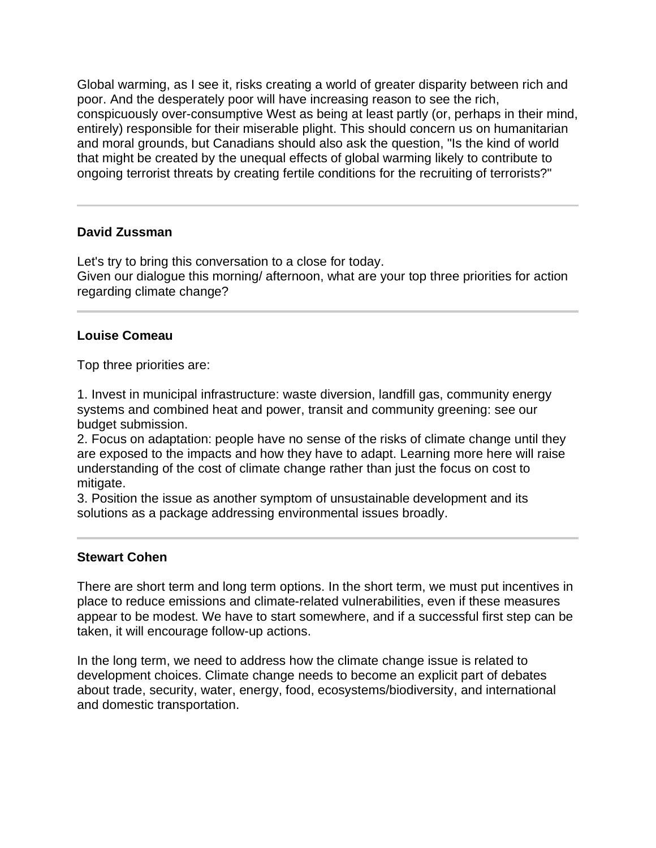Global warming, as I see it, risks creating a world of greater disparity between rich and poor. And the desperately poor will have increasing reason to see the rich, conspicuously over-consumptive West as being at least partly (or, perhaps in their mind, entirely) responsible for their miserable plight. This should concern us on humanitarian and moral grounds, but Canadians should also ask the question, "Is the kind of world that might be created by the unequal effects of global warming likely to contribute to ongoing terrorist threats by creating fertile conditions for the recruiting of terrorists?"

## **David Zussman**

Let's try to bring this conversation to a close for today. Given our dialogue this morning/ afternoon, what are your top three priorities for action regarding climate change?

## **Louise Comeau**

l

Top three priorities are:

1. Invest in municipal infrastructure: waste diversion, landfill gas, community energy systems and combined heat and power, transit and community greening: see our budget submission.

2. Focus on adaptation: people have no sense of the risks of climate change until they are exposed to the impacts and how they have to adapt. Learning more here will raise understanding of the cost of climate change rather than just the focus on cost to mitigate.

3. Position the issue as another symptom of unsustainable development and its solutions as a package addressing environmental issues broadly.

### **Stewart Cohen**

I

There are short term and long term options. In the short term, we must put incentives in place to reduce emissions and climate-related vulnerabilities, even if these measures appear to be modest. We have to start somewhere, and if a successful first step can be taken, it will encourage follow-up actions.

In the long term, we need to address how the climate change issue is related to development choices. Climate change needs to become an explicit part of debates about trade, security, water, energy, food, ecosystems/biodiversity, and international and domestic transportation.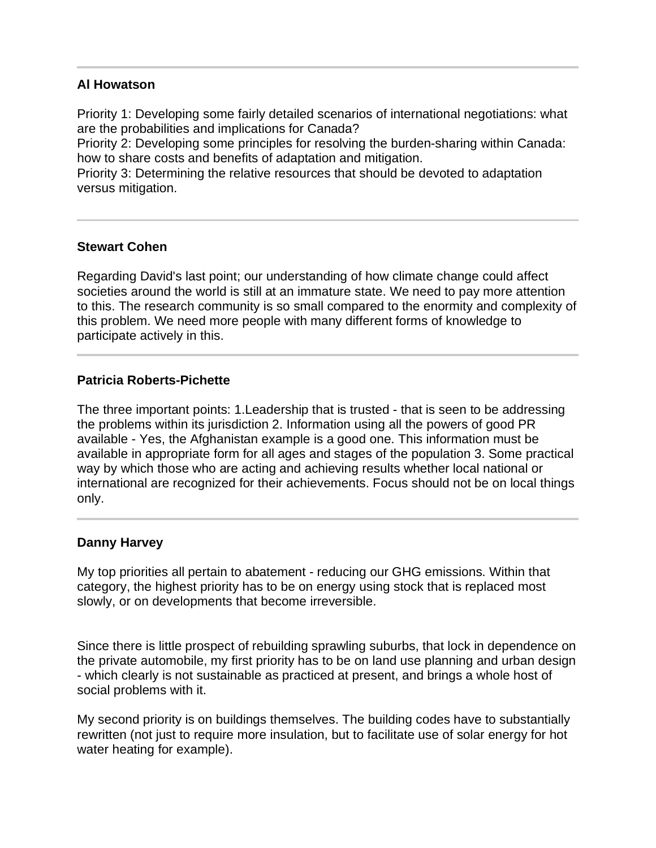## **Al Howatson**

Priority 1: Developing some fairly detailed scenarios of international negotiations: what are the probabilities and implications for Canada?

Priority 2: Developing some principles for resolving the burden-sharing within Canada: how to share costs and benefits of adaptation and mitigation.

Priority 3: Determining the relative resources that should be devoted to adaptation versus mitigation.

## **Stewart Cohen**

l

Regarding David's last point; our understanding of how climate change could affect societies around the world is still at an immature state. We need to pay more attention to this. The research community is so small compared to the enormity and complexity of this problem. We need more people with many different forms of knowledge to participate actively in this.

## **Patricia Roberts-Pichette**

The three important points: 1.Leadership that is trusted - that is seen to be addressing the problems within its jurisdiction 2. Information using all the powers of good PR available - Yes, the Afghanistan example is a good one. This information must be available in appropriate form for all ages and stages of the population 3. Some practical way by which those who are acting and achieving results whether local national or international are recognized for their achievements. Focus should not be on local things only.

## **Danny Harvey**

֦

My top priorities all pertain to abatement - reducing our GHG emissions. Within that category, the highest priority has to be on energy using stock that is replaced most slowly, or on developments that become irreversible.

Since there is little prospect of rebuilding sprawling suburbs, that lock in dependence on the private automobile, my first priority has to be on land use planning and urban design - which clearly is not sustainable as practiced at present, and brings a whole host of social problems with it.

My second priority is on buildings themselves. The building codes have to substantially rewritten (not just to require more insulation, but to facilitate use of solar energy for hot water heating for example).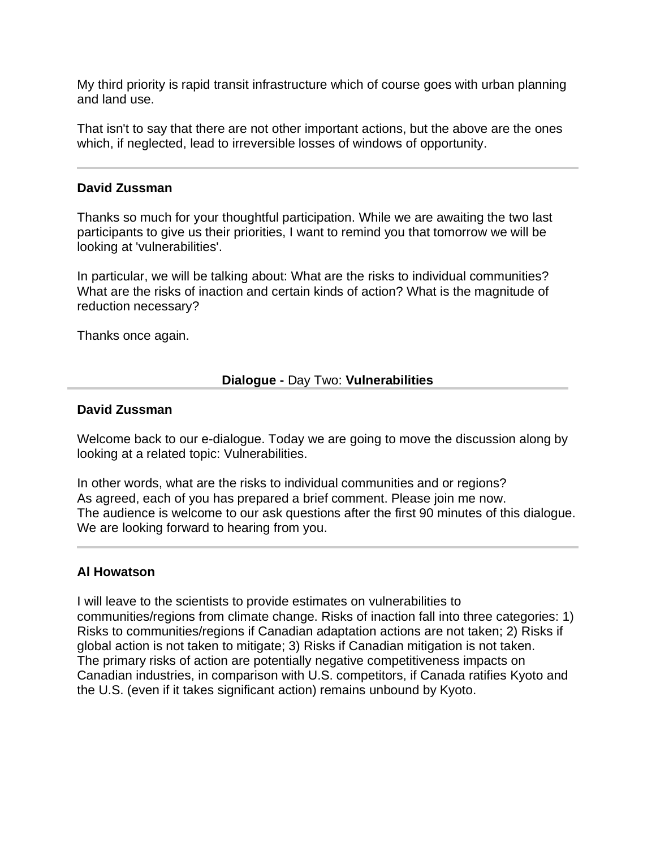My third priority is rapid transit infrastructure which of course goes with urban planning and land use.

That isn't to say that there are not other important actions, but the above are the ones which, if neglected, lead to irreversible losses of windows of opportunity.

### **David Zussman**

Ī

Thanks so much for your thoughtful participation. While we are awaiting the two last participants to give us their priorities, I want to remind you that tomorrow we will be looking at 'vulnerabilities'.

In particular, we will be talking about: What are the risks to individual communities? What are the risks of inaction and certain kinds of action? What is the magnitude of reduction necessary?

Thanks once again.

## **Dialogue -** Day Two: **Vulnerabilities**

### **David Zussman**

Welcome back to our e-dialogue. Today we are going to move the discussion along by looking at a related topic: Vulnerabilities.

In other words, what are the risks to individual communities and or regions? As agreed, each of you has prepared a brief comment. Please join me now. The audience is welcome to our ask questions after the first 90 minutes of this dialogue. We are looking forward to hearing from you.

### **Al Howatson**

l

I will leave to the scientists to provide estimates on vulnerabilities to communities/regions from climate change. Risks of inaction fall into three categories: 1) Risks to communities/regions if Canadian adaptation actions are not taken; 2) Risks if global action is not taken to mitigate; 3) Risks if Canadian mitigation is not taken. The primary risks of action are potentially negative competitiveness impacts on Canadian industries, in comparison with U.S. competitors, if Canada ratifies Kyoto and the U.S. (even if it takes significant action) remains unbound by Kyoto.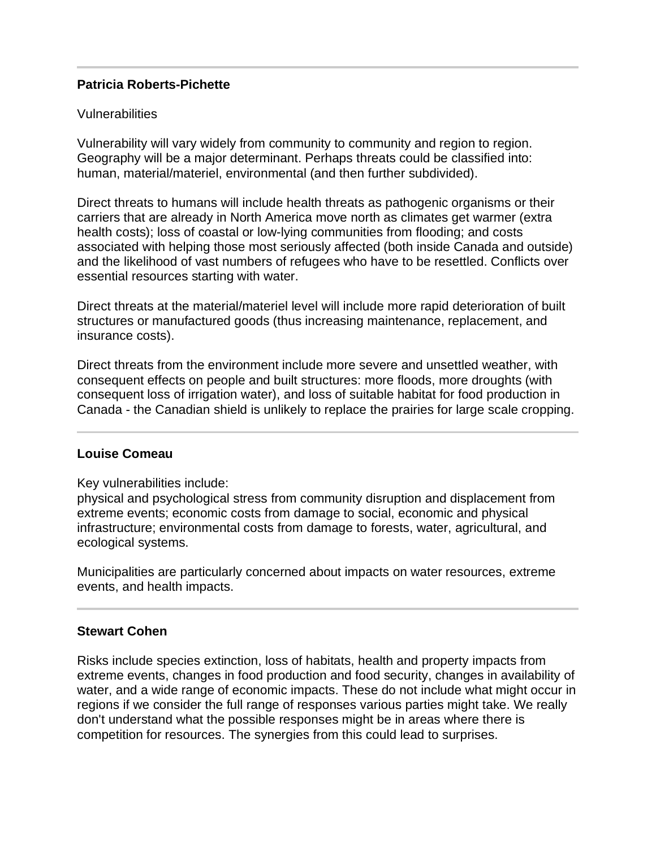## **Patricia Roberts-Pichette**

#### Vulnerabilities

Vulnerability will vary widely from community to community and region to region. Geography will be a major determinant. Perhaps threats could be classified into: human, material/materiel, environmental (and then further subdivided).

Direct threats to humans will include health threats as pathogenic organisms or their carriers that are already in North America move north as climates get warmer (extra health costs); loss of coastal or low-lying communities from flooding; and costs associated with helping those most seriously affected (both inside Canada and outside) and the likelihood of vast numbers of refugees who have to be resettled. Conflicts over essential resources starting with water.

Direct threats at the material/materiel level will include more rapid deterioration of built structures or manufactured goods (thus increasing maintenance, replacement, and insurance costs).

Direct threats from the environment include more severe and unsettled weather, with consequent effects on people and built structures: more floods, more droughts (with consequent loss of irrigation water), and loss of suitable habitat for food production in Canada - the Canadian shield is unlikely to replace the prairies for large scale cropping.

#### **Louise Comeau**

Key vulnerabilities include:

physical and psychological stress from community disruption and displacement from extreme events; economic costs from damage to social, economic and physical infrastructure; environmental costs from damage to forests, water, agricultural, and ecological systems.

Municipalities are particularly concerned about impacts on water resources, extreme events, and health impacts.

### **Stewart Cohen**

Risks include species extinction, loss of habitats, health and property impacts from extreme events, changes in food production and food security, changes in availability of water, and a wide range of economic impacts. These do not include what might occur in regions if we consider the full range of responses various parties might take. We really don't understand what the possible responses might be in areas where there is competition for resources. The synergies from this could lead to surprises.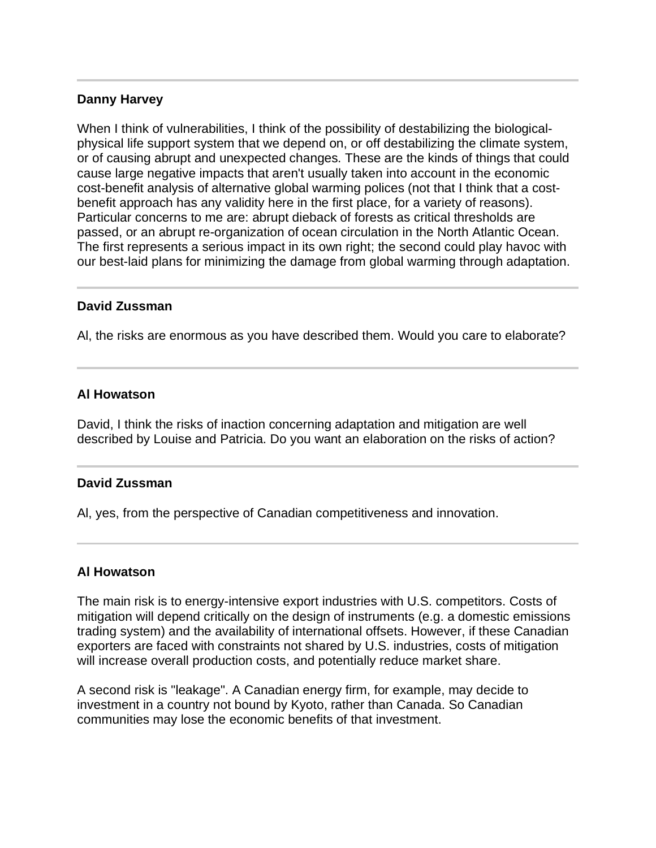## **Danny Harvey**

I

I

j

j

When I think of vulnerabilities, I think of the possibility of destabilizing the biologicalphysical life support system that we depend on, or off destabilizing the climate system, or of causing abrupt and unexpected changes. These are the kinds of things that could cause large negative impacts that aren't usually taken into account in the economic cost-benefit analysis of alternative global warming polices (not that I think that a costbenefit approach has any validity here in the first place, for a variety of reasons). Particular concerns to me are: abrupt dieback of forests as critical thresholds are passed, or an abrupt re-organization of ocean circulation in the North Atlantic Ocean. The first represents a serious impact in its own right; the second could play havoc with our best-laid plans for minimizing the damage from global warming through adaptation.

### **David Zussman**

Al, the risks are enormous as you have described them. Would you care to elaborate?

#### **Al Howatson**

David, I think the risks of inaction concerning adaptation and mitigation are well described by Louise and Patricia. Do you want an elaboration on the risks of action?

### **David Zussman**

Al, yes, from the perspective of Canadian competitiveness and innovation.

### **Al Howatson**

The main risk is to energy-intensive export industries with U.S. competitors. Costs of mitigation will depend critically on the design of instruments (e.g. a domestic emissions trading system) and the availability of international offsets. However, if these Canadian exporters are faced with constraints not shared by U.S. industries, costs of mitigation will increase overall production costs, and potentially reduce market share.

A second risk is "leakage". A Canadian energy firm, for example, may decide to investment in a country not bound by Kyoto, rather than Canada. So Canadian communities may lose the economic benefits of that investment.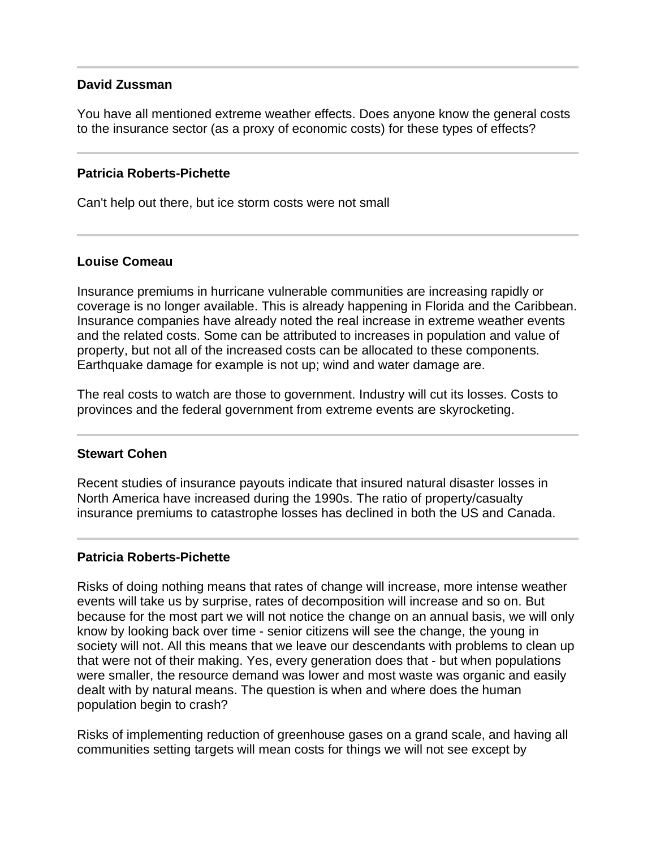## **David Zussman**

Ī

l

Ī

I

You have all mentioned extreme weather effects. Does anyone know the general costs to the insurance sector (as a proxy of economic costs) for these types of effects?

## **Patricia Roberts-Pichette**

Can't help out there, but ice storm costs were not small

### **Louise Comeau**

Insurance premiums in hurricane vulnerable communities are increasing rapidly or coverage is no longer available. This is already happening in Florida and the Caribbean. Insurance companies have already noted the real increase in extreme weather events and the related costs. Some can be attributed to increases in population and value of property, but not all of the increased costs can be allocated to these components. Earthquake damage for example is not up; wind and water damage are.

The real costs to watch are those to government. Industry will cut its losses. Costs to provinces and the federal government from extreme events are skyrocketing.

### **Stewart Cohen**

Recent studies of insurance payouts indicate that insured natural disaster losses in North America have increased during the 1990s. The ratio of property/casualty insurance premiums to catastrophe losses has declined in both the US and Canada.

### **Patricia Roberts-Pichette**

Risks of doing nothing means that rates of change will increase, more intense weather events will take us by surprise, rates of decomposition will increase and so on. But because for the most part we will not notice the change on an annual basis, we will only know by looking back over time - senior citizens will see the change, the young in society will not. All this means that we leave our descendants with problems to clean up that were not of their making. Yes, every generation does that - but when populations were smaller, the resource demand was lower and most waste was organic and easily dealt with by natural means. The question is when and where does the human population begin to crash?

Risks of implementing reduction of greenhouse gases on a grand scale, and having all communities setting targets will mean costs for things we will not see except by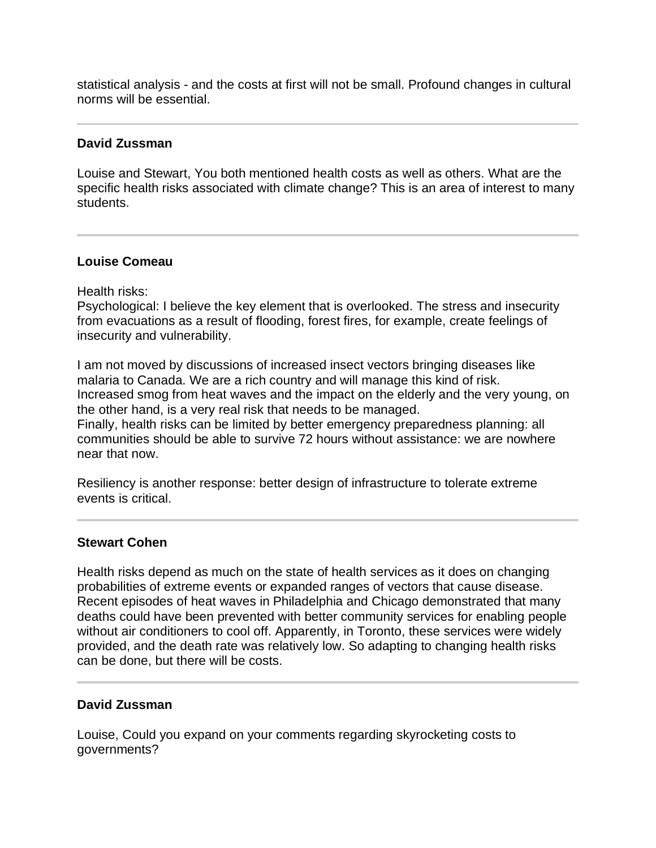statistical analysis - and the costs at first will not be small. Profound changes in cultural norms will be essential.

## **David Zussman**

I

l

Louise and Stewart, You both mentioned health costs as well as others. What are the specific health risks associated with climate change? This is an area of interest to many students.

## **Louise Comeau**

Health risks:

Psychological: I believe the key element that is overlooked. The stress and insecurity from evacuations as a result of flooding, forest fires, for example, create feelings of insecurity and vulnerability.

I am not moved by discussions of increased insect vectors bringing diseases like malaria to Canada. We are a rich country and will manage this kind of risk. Increased smog from heat waves and the impact on the elderly and the very young, on the other hand, is a very real risk that needs to be managed.

Finally, health risks can be limited by better emergency preparedness planning: all communities should be able to survive 72 hours without assistance: we are nowhere near that now.

Resiliency is another response: better design of infrastructure to tolerate extreme events is critical.

### **Stewart Cohen**

Health risks depend as much on the state of health services as it does on changing probabilities of extreme events or expanded ranges of vectors that cause disease. Recent episodes of heat waves in Philadelphia and Chicago demonstrated that many deaths could have been prevented with better community services for enabling people without air conditioners to cool off. Apparently, in Toronto, these services were widely provided, and the death rate was relatively low. So adapting to changing health risks can be done, but there will be costs.

### **David Zussman**

Louise, Could you expand on your comments regarding skyrocketing costs to governments?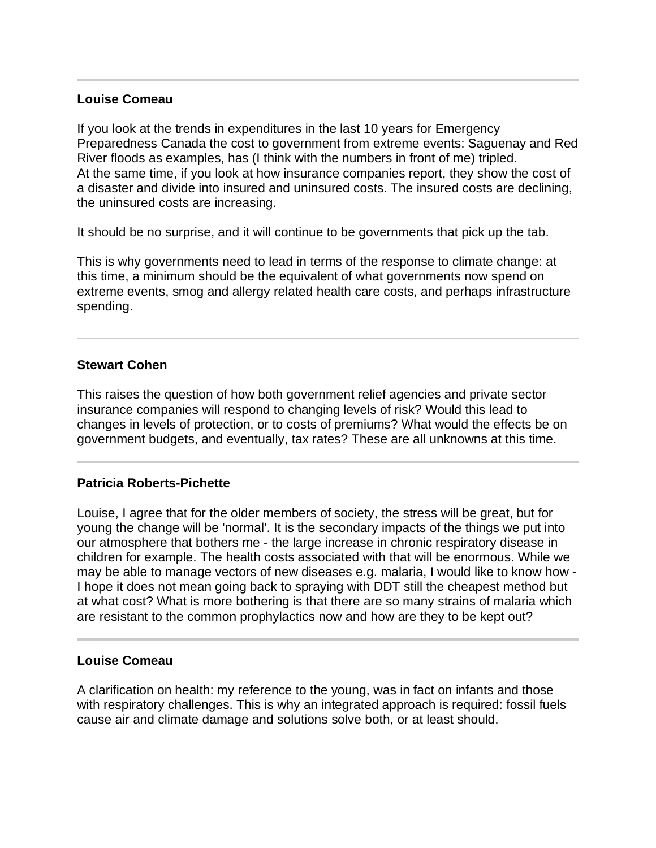## **Louise Comeau**

If you look at the trends in expenditures in the last 10 years for Emergency Preparedness Canada the cost to government from extreme events: Saguenay and Red River floods as examples, has (I think with the numbers in front of me) tripled. At the same time, if you look at how insurance companies report, they show the cost of a disaster and divide into insured and uninsured costs. The insured costs are declining, the uninsured costs are increasing.

It should be no surprise, and it will continue to be governments that pick up the tab.

This is why governments need to lead in terms of the response to climate change: at this time, a minimum should be the equivalent of what governments now spend on extreme events, smog and allergy related health care costs, and perhaps infrastructure spending.

## **Stewart Cohen**

This raises the question of how both government relief agencies and private sector insurance companies will respond to changing levels of risk? Would this lead to changes in levels of protection, or to costs of premiums? What would the effects be on government budgets, and eventually, tax rates? These are all unknowns at this time.

## **Patricia Roberts-Pichette**

Louise, I agree that for the older members of society, the stress will be great, but for young the change will be 'normal'. It is the secondary impacts of the things we put into our atmosphere that bothers me - the large increase in chronic respiratory disease in children for example. The health costs associated with that will be enormous. While we may be able to manage vectors of new diseases e.g. malaria, I would like to know how - I hope it does not mean going back to spraying with DDT still the cheapest method but at what cost? What is more bothering is that there are so many strains of malaria which are resistant to the common prophylactics now and how are they to be kept out?

### **Louise Comeau**

A clarification on health: my reference to the young, was in fact on infants and those with respiratory challenges. This is why an integrated approach is required: fossil fuels cause air and climate damage and solutions solve both, or at least should.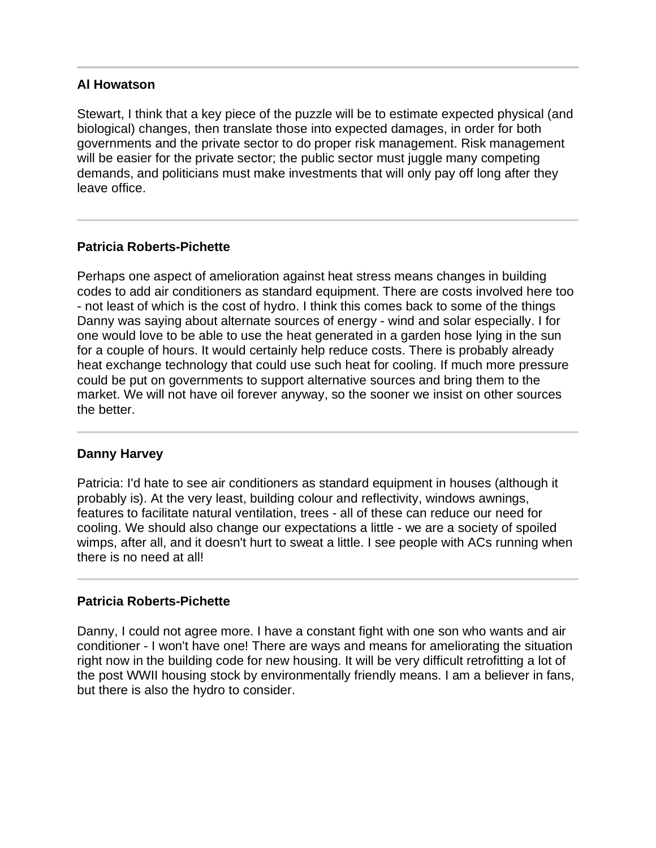## **Al Howatson**

Stewart, I think that a key piece of the puzzle will be to estimate expected physical (and biological) changes, then translate those into expected damages, in order for both governments and the private sector to do proper risk management. Risk management will be easier for the private sector; the public sector must juggle many competing demands, and politicians must make investments that will only pay off long after they leave office.

## **Patricia Roberts-Pichette**

Perhaps one aspect of amelioration against heat stress means changes in building codes to add air conditioners as standard equipment. There are costs involved here too - not least of which is the cost of hydro. I think this comes back to some of the things Danny was saying about alternate sources of energy - wind and solar especially. I for one would love to be able to use the heat generated in a garden hose lying in the sun for a couple of hours. It would certainly help reduce costs. There is probably already heat exchange technology that could use such heat for cooling. If much more pressure could be put on governments to support alternative sources and bring them to the market. We will not have oil forever anyway, so the sooner we insist on other sources the better.

## **Danny Harvey**

Patricia: I'd hate to see air conditioners as standard equipment in houses (although it probably is). At the very least, building colour and reflectivity, windows awnings, features to facilitate natural ventilation, trees - all of these can reduce our need for cooling. We should also change our expectations a little - we are a society of spoiled wimps, after all, and it doesn't hurt to sweat a little. I see people with ACs running when there is no need at all!

## **Patricia Roberts-Pichette**

Danny, I could not agree more. I have a constant fight with one son who wants and air conditioner - I won't have one! There are ways and means for ameliorating the situation right now in the building code for new housing. It will be very difficult retrofitting a lot of the post WWII housing stock by environmentally friendly means. I am a believer in fans, but there is also the hydro to consider.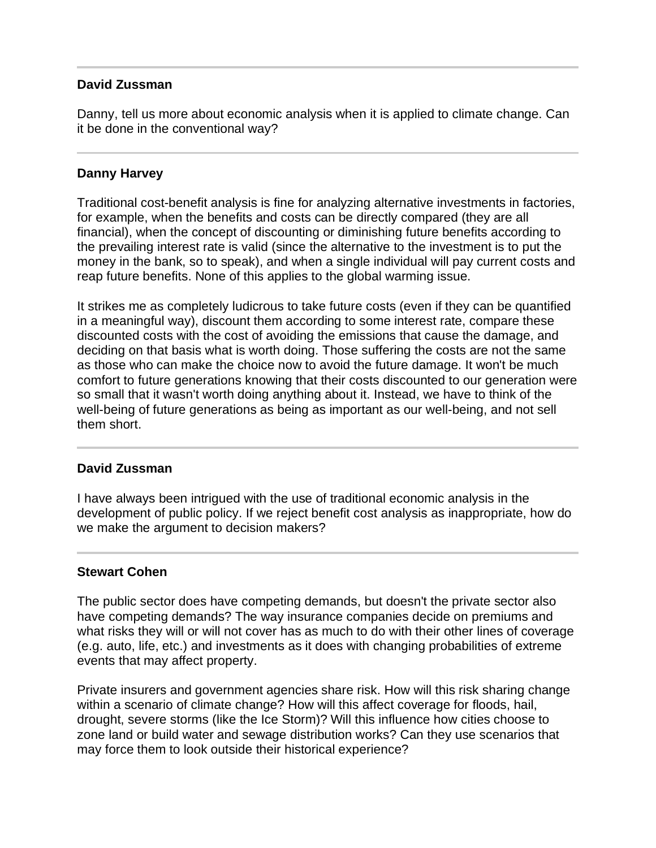## **David Zussman**

Danny, tell us more about economic analysis when it is applied to climate change. Can it be done in the conventional way?

# **Danny Harvey**

Ī

Traditional cost-benefit analysis is fine for analyzing alternative investments in factories, for example, when the benefits and costs can be directly compared (they are all financial), when the concept of discounting or diminishing future benefits according to the prevailing interest rate is valid (since the alternative to the investment is to put the money in the bank, so to speak), and when a single individual will pay current costs and reap future benefits. None of this applies to the global warming issue.

It strikes me as completely ludicrous to take future costs (even if they can be quantified in a meaningful way), discount them according to some interest rate, compare these discounted costs with the cost of avoiding the emissions that cause the damage, and deciding on that basis what is worth doing. Those suffering the costs are not the same as those who can make the choice now to avoid the future damage. It won't be much comfort to future generations knowing that their costs discounted to our generation were so small that it wasn't worth doing anything about it. Instead, we have to think of the well-being of future generations as being as important as our well-being, and not sell them short.

## **David Zussman**

I have always been intrigued with the use of traditional economic analysis in the development of public policy. If we reject benefit cost analysis as inappropriate, how do we make the argument to decision makers?

## **Stewart Cohen**

Ī

The public sector does have competing demands, but doesn't the private sector also have competing demands? The way insurance companies decide on premiums and what risks they will or will not cover has as much to do with their other lines of coverage (e.g. auto, life, etc.) and investments as it does with changing probabilities of extreme events that may affect property.

Private insurers and government agencies share risk. How will this risk sharing change within a scenario of climate change? How will this affect coverage for floods, hail, drought, severe storms (like the Ice Storm)? Will this influence how cities choose to zone land or build water and sewage distribution works? Can they use scenarios that may force them to look outside their historical experience?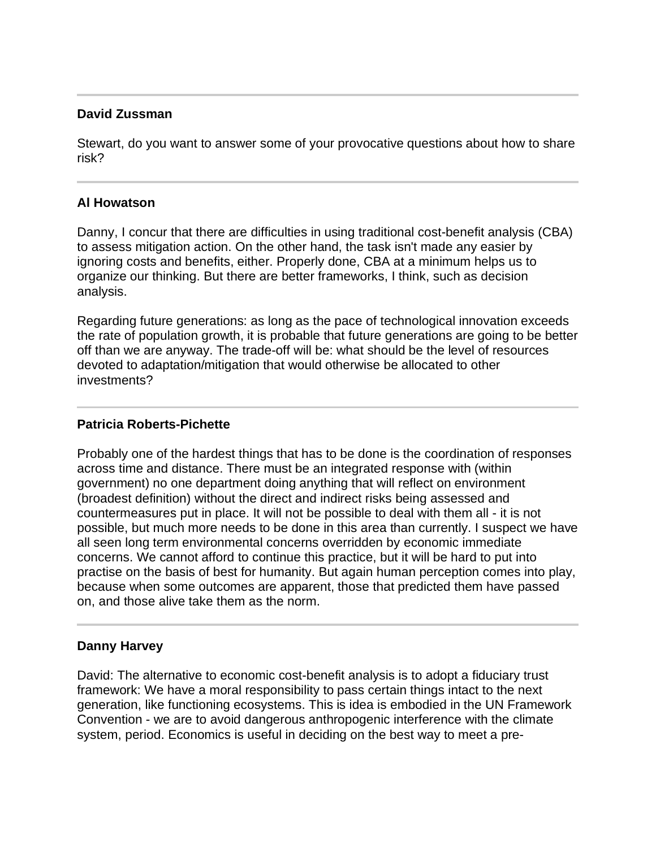## **David Zussman**

I

Ī

j

Stewart, do you want to answer some of your provocative questions about how to share risk?

## **Al Howatson**

Danny, I concur that there are difficulties in using traditional cost-benefit analysis (CBA) to assess mitigation action. On the other hand, the task isn't made any easier by ignoring costs and benefits, either. Properly done, CBA at a minimum helps us to organize our thinking. But there are better frameworks, I think, such as decision analysis.

Regarding future generations: as long as the pace of technological innovation exceeds the rate of population growth, it is probable that future generations are going to be better off than we are anyway. The trade-off will be: what should be the level of resources devoted to adaptation/mitigation that would otherwise be allocated to other investments?

### **Patricia Roberts-Pichette**

Probably one of the hardest things that has to be done is the coordination of responses across time and distance. There must be an integrated response with (within government) no one department doing anything that will reflect on environment (broadest definition) without the direct and indirect risks being assessed and countermeasures put in place. It will not be possible to deal with them all - it is not possible, but much more needs to be done in this area than currently. I suspect we have all seen long term environmental concerns overridden by economic immediate concerns. We cannot afford to continue this practice, but it will be hard to put into practise on the basis of best for humanity. But again human perception comes into play, because when some outcomes are apparent, those that predicted them have passed on, and those alive take them as the norm.

### **Danny Harvey**

David: The alternative to economic cost-benefit analysis is to adopt a fiduciary trust framework: We have a moral responsibility to pass certain things intact to the next generation, like functioning ecosystems. This is idea is embodied in the UN Framework Convention - we are to avoid dangerous anthropogenic interference with the climate system, period. Economics is useful in deciding on the best way to meet a pre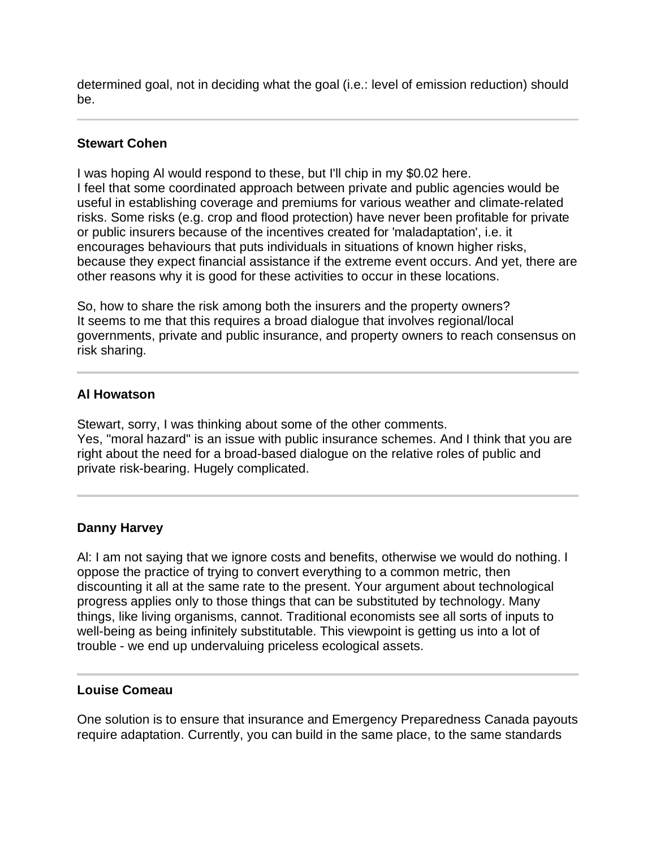determined goal, not in deciding what the goal (i.e.: level of emission reduction) should be.

# **Stewart Cohen**

l

I was hoping Al would respond to these, but I'll chip in my \$0.02 here. I feel that some coordinated approach between private and public agencies would be useful in establishing coverage and premiums for various weather and climate-related risks. Some risks (e.g. crop and flood protection) have never been profitable for private or public insurers because of the incentives created for 'maladaptation', i.e. it encourages behaviours that puts individuals in situations of known higher risks, because they expect financial assistance if the extreme event occurs. And yet, there are other reasons why it is good for these activities to occur in these locations.

So, how to share the risk among both the insurers and the property owners? It seems to me that this requires a broad dialogue that involves regional/local governments, private and public insurance, and property owners to reach consensus on risk sharing.

# **Al Howatson**

Stewart, sorry, I was thinking about some of the other comments. Yes, "moral hazard" is an issue with public insurance schemes. And I think that you are right about the need for a broad-based dialogue on the relative roles of public and private risk-bearing. Hugely complicated.

# **Danny Harvey**

Al: I am not saying that we ignore costs and benefits, otherwise we would do nothing. I oppose the practice of trying to convert everything to a common metric, then discounting it all at the same rate to the present. Your argument about technological progress applies only to those things that can be substituted by technology. Many things, like living organisms, cannot. Traditional economists see all sorts of inputs to well-being as being infinitely substitutable. This viewpoint is getting us into a lot of trouble - we end up undervaluing priceless ecological assets.

## **Louise Comeau**

j

One solution is to ensure that insurance and Emergency Preparedness Canada payouts require adaptation. Currently, you can build in the same place, to the same standards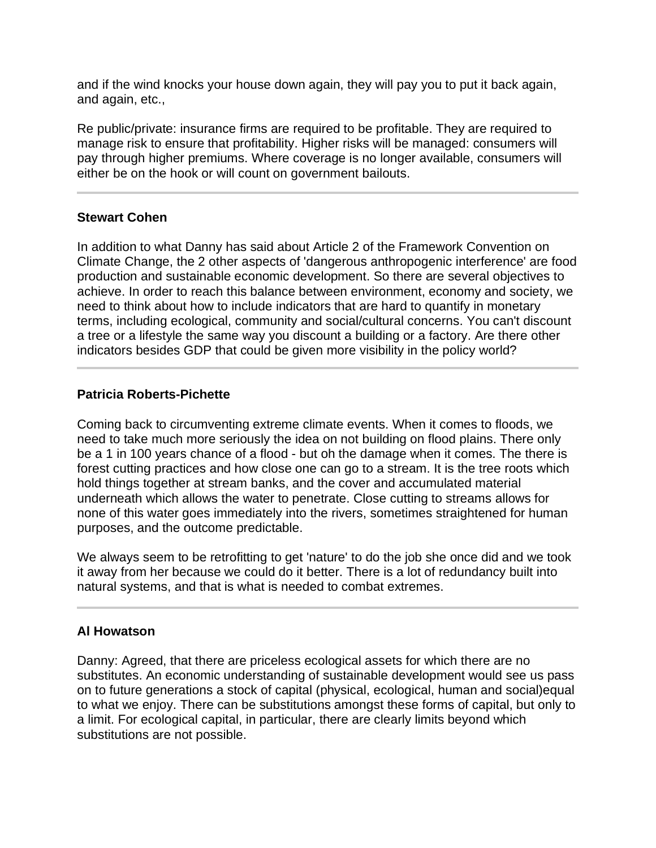and if the wind knocks your house down again, they will pay you to put it back again, and again, etc.,

Re public/private: insurance firms are required to be profitable. They are required to manage risk to ensure that profitability. Higher risks will be managed: consumers will pay through higher premiums. Where coverage is no longer available, consumers will either be on the hook or will count on government bailouts.

## **Stewart Cohen**

l

In addition to what Danny has said about Article 2 of the Framework Convention on Climate Change, the 2 other aspects of 'dangerous anthropogenic interference' are food production and sustainable economic development. So there are several objectives to achieve. In order to reach this balance between environment, economy and society, we need to think about how to include indicators that are hard to quantify in monetary terms, including ecological, community and social/cultural concerns. You can't discount a tree or a lifestyle the same way you discount a building or a factory. Are there other indicators besides GDP that could be given more visibility in the policy world?

## **Patricia Roberts-Pichette**

Coming back to circumventing extreme climate events. When it comes to floods, we need to take much more seriously the idea on not building on flood plains. There only be a 1 in 100 years chance of a flood - but oh the damage when it comes. The there is forest cutting practices and how close one can go to a stream. It is the tree roots which hold things together at stream banks, and the cover and accumulated material underneath which allows the water to penetrate. Close cutting to streams allows for none of this water goes immediately into the rivers, sometimes straightened for human purposes, and the outcome predictable.

We always seem to be retrofitting to get 'nature' to do the job she once did and we took it away from her because we could do it better. There is a lot of redundancy built into natural systems, and that is what is needed to combat extremes.

## **Al Howatson**

l

Danny: Agreed, that there are priceless ecological assets for which there are no substitutes. An economic understanding of sustainable development would see us pass on to future generations a stock of capital (physical, ecological, human and social)equal to what we enjoy. There can be substitutions amongst these forms of capital, but only to a limit. For ecological capital, in particular, there are clearly limits beyond which substitutions are not possible.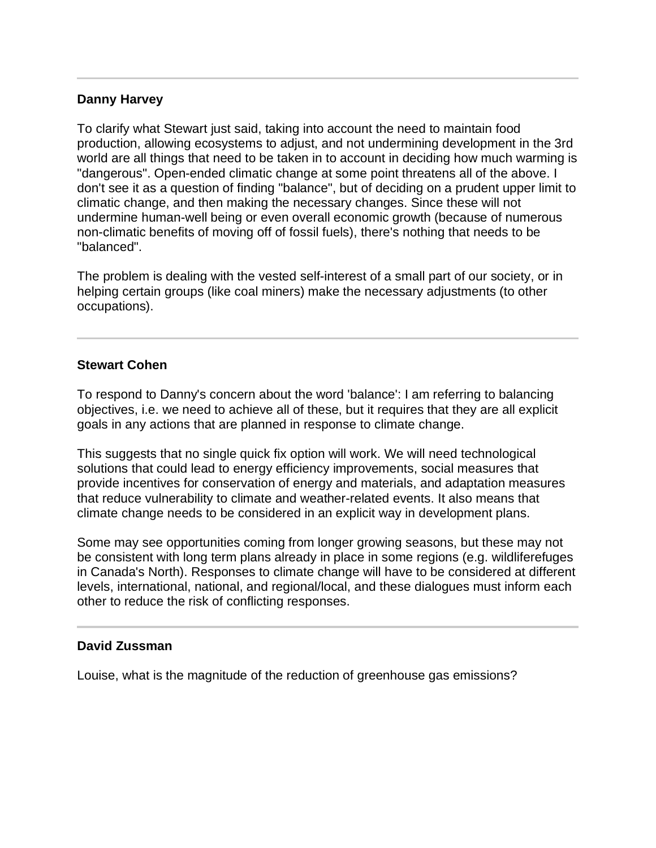## **Danny Harvey**

To clarify what Stewart just said, taking into account the need to maintain food production, allowing ecosystems to adjust, and not undermining development in the 3rd world are all things that need to be taken in to account in deciding how much warming is "dangerous". Open-ended climatic change at some point threatens all of the above. I don't see it as a question of finding "balance", but of deciding on a prudent upper limit to climatic change, and then making the necessary changes. Since these will not undermine human-well being or even overall economic growth (because of numerous non-climatic benefits of moving off of fossil fuels), there's nothing that needs to be "balanced".

The problem is dealing with the vested self-interest of a small part of our society, or in helping certain groups (like coal miners) make the necessary adjustments (to other occupations).

## **Stewart Cohen**

To respond to Danny's concern about the word 'balance': I am referring to balancing objectives, i.e. we need to achieve all of these, but it requires that they are all explicit goals in any actions that are planned in response to climate change.

This suggests that no single quick fix option will work. We will need technological solutions that could lead to energy efficiency improvements, social measures that provide incentives for conservation of energy and materials, and adaptation measures that reduce vulnerability to climate and weather-related events. It also means that climate change needs to be considered in an explicit way in development plans.

Some may see opportunities coming from longer growing seasons, but these may not be consistent with long term plans already in place in some regions (e.g. wildliferefuges in Canada's North). Responses to climate change will have to be considered at different levels, international, national, and regional/local, and these dialogues must inform each other to reduce the risk of conflicting responses.

### **David Zussman**

Ī

Louise, what is the magnitude of the reduction of greenhouse gas emissions?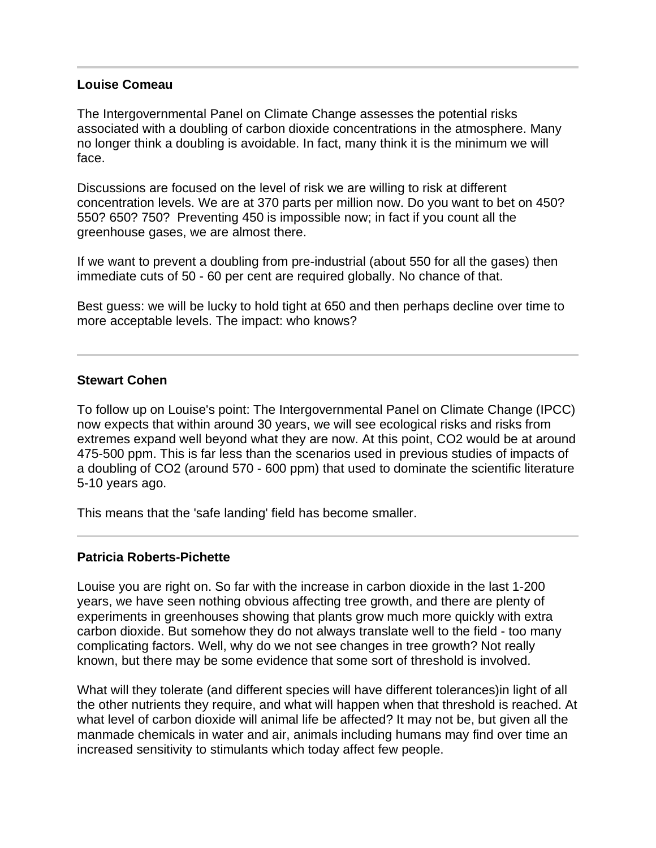### **Louise Comeau**

The Intergovernmental Panel on Climate Change assesses the potential risks associated with a doubling of carbon dioxide concentrations in the atmosphere. Many no longer think a doubling is avoidable. In fact, many think it is the minimum we will face.

Discussions are focused on the level of risk we are willing to risk at different concentration levels. We are at 370 parts per million now. Do you want to bet on 450? 550? 650? 750? Preventing 450 is impossible now; in fact if you count all the greenhouse gases, we are almost there.

If we want to prevent a doubling from pre-industrial (about 550 for all the gases) then immediate cuts of 50 - 60 per cent are required globally. No chance of that.

Best guess: we will be lucky to hold tight at 650 and then perhaps decline over time to more acceptable levels. The impact: who knows?

## **Stewart Cohen**

To follow up on Louise's point: The Intergovernmental Panel on Climate Change (IPCC) now expects that within around 30 years, we will see ecological risks and risks from extremes expand well beyond what they are now. At this point, CO2 would be at around 475-500 ppm. This is far less than the scenarios used in previous studies of impacts of a doubling of CO2 (around 570 - 600 ppm) that used to dominate the scientific literature 5-10 years ago.

This means that the 'safe landing' field has become smaller.

### **Patricia Roberts-Pichette**

Louise you are right on. So far with the increase in carbon dioxide in the last 1-200 years, we have seen nothing obvious affecting tree growth, and there are plenty of experiments in greenhouses showing that plants grow much more quickly with extra carbon dioxide. But somehow they do not always translate well to the field - too many complicating factors. Well, why do we not see changes in tree growth? Not really known, but there may be some evidence that some sort of threshold is involved.

What will they tolerate (and different species will have different tolerances)in light of all the other nutrients they require, and what will happen when that threshold is reached. At what level of carbon dioxide will animal life be affected? It may not be, but given all the manmade chemicals in water and air, animals including humans may find over time an increased sensitivity to stimulants which today affect few people.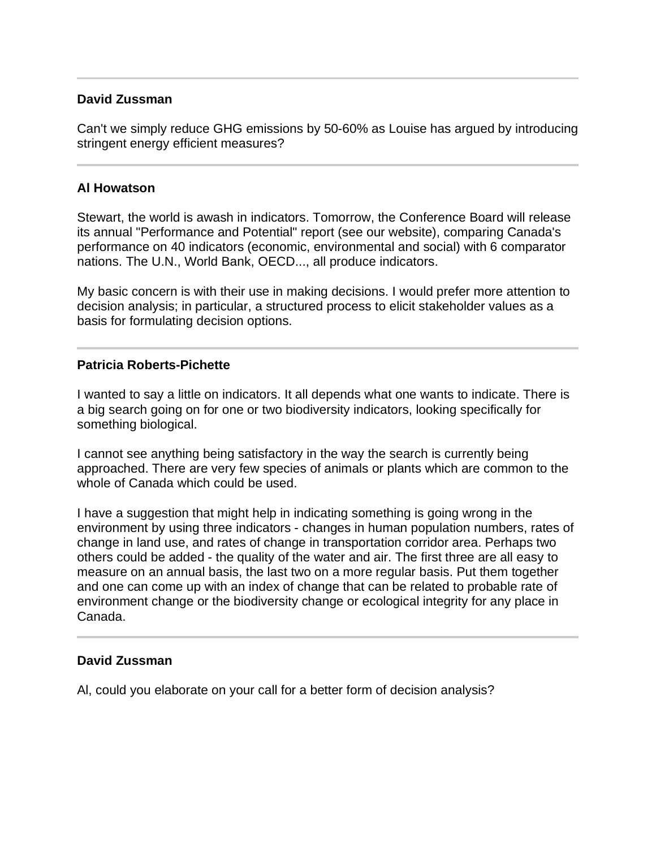## **David Zussman**

Can't we simply reduce GHG emissions by 50-60% as Louise has argued by introducing stringent energy efficient measures?

### **Al Howatson**

 $\overline{a}$ 

j

Stewart, the world is awash in indicators. Tomorrow, the Conference Board will release its annual "Performance and Potential" report (see our website), comparing Canada's performance on 40 indicators (economic, environmental and social) with 6 comparator nations. The U.N., World Bank, OECD..., all produce indicators.

My basic concern is with their use in making decisions. I would prefer more attention to decision analysis; in particular, a structured process to elicit stakeholder values as a basis for formulating decision options.

## **Patricia Roberts-Pichette**

I wanted to say a little on indicators. It all depends what one wants to indicate. There is a big search going on for one or two biodiversity indicators, looking specifically for something biological.

I cannot see anything being satisfactory in the way the search is currently being approached. There are very few species of animals or plants which are common to the whole of Canada which could be used.

I have a suggestion that might help in indicating something is going wrong in the environment by using three indicators - changes in human population numbers, rates of change in land use, and rates of change in transportation corridor area. Perhaps two others could be added - the quality of the water and air. The first three are all easy to measure on an annual basis, the last two on a more regular basis. Put them together and one can come up with an index of change that can be related to probable rate of environment change or the biodiversity change or ecological integrity for any place in Canada.

### **David Zussman**

Al, could you elaborate on your call for a better form of decision analysis?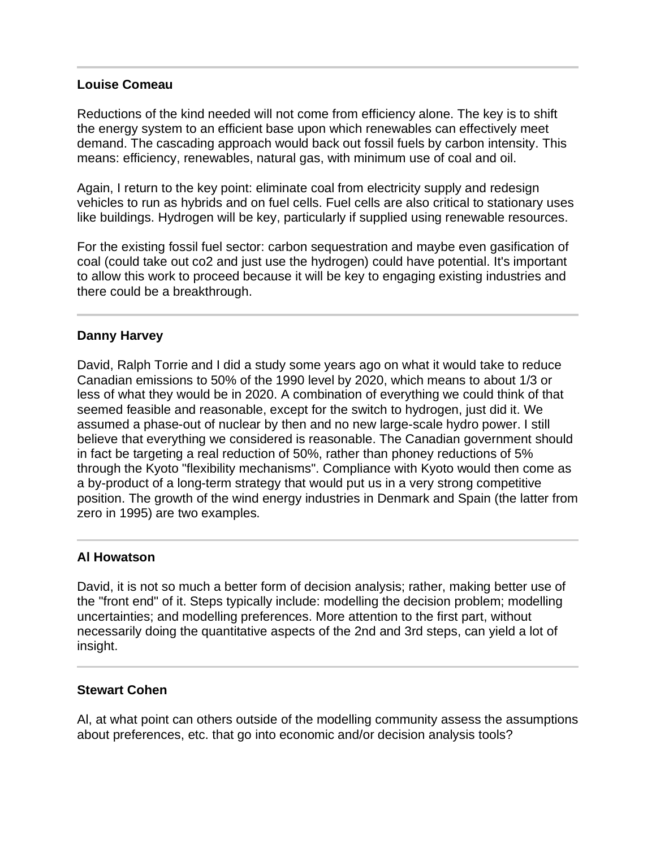## **Louise Comeau**

Reductions of the kind needed will not come from efficiency alone. The key is to shift the energy system to an efficient base upon which renewables can effectively meet demand. The cascading approach would back out fossil fuels by carbon intensity. This means: efficiency, renewables, natural gas, with minimum use of coal and oil.

Again, I return to the key point: eliminate coal from electricity supply and redesign vehicles to run as hybrids and on fuel cells. Fuel cells are also critical to stationary uses like buildings. Hydrogen will be key, particularly if supplied using renewable resources.

For the existing fossil fuel sector: carbon sequestration and maybe even gasification of coal (could take out co2 and just use the hydrogen) could have potential. It's important to allow this work to proceed because it will be key to engaging existing industries and there could be a breakthrough.

## **Danny Harvey**

David, Ralph Torrie and I did a study some years ago on what it would take to reduce Canadian emissions to 50% of the 1990 level by 2020, which means to about 1/3 or less of what they would be in 2020. A combination of everything we could think of that seemed feasible and reasonable, except for the switch to hydrogen, just did it. We assumed a phase-out of nuclear by then and no new large-scale hydro power. I still believe that everything we considered is reasonable. The Canadian government should in fact be targeting a real reduction of 50%, rather than phoney reductions of 5% through the Kyoto "flexibility mechanisms". Compliance with Kyoto would then come as a by-product of a long-term strategy that would put us in a very strong competitive position. The growth of the wind energy industries in Denmark and Spain (the latter from zero in 1995) are two examples.

### **Al Howatson**

David, it is not so much a better form of decision analysis; rather, making better use of the "front end" of it. Steps typically include: modelling the decision problem; modelling uncertainties; and modelling preferences. More attention to the first part, without necessarily doing the quantitative aspects of the 2nd and 3rd steps, can yield a lot of insight.

### **Stewart Cohen**

Al, at what point can others outside of the modelling community assess the assumptions about preferences, etc. that go into economic and/or decision analysis tools?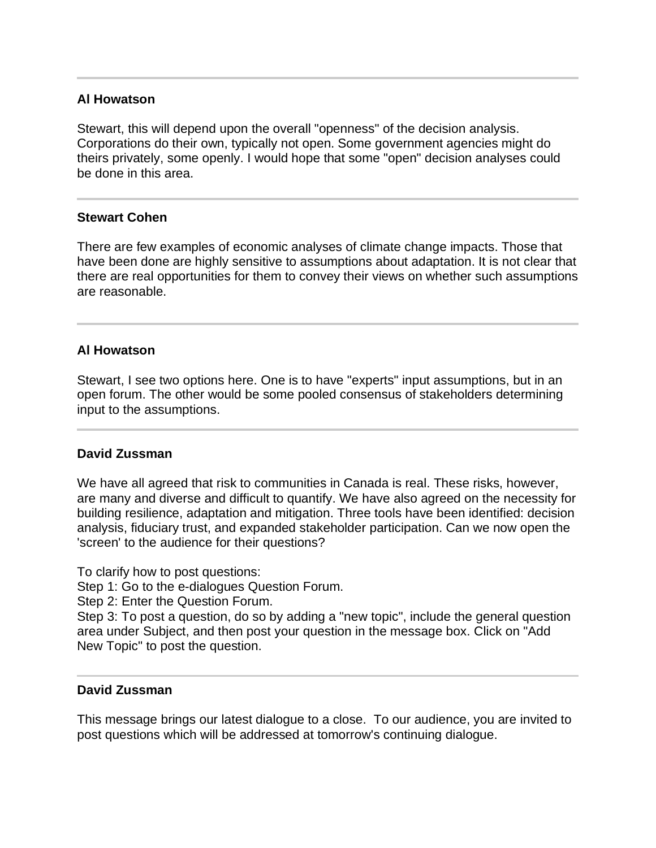## **Al Howatson**

Stewart, this will depend upon the overall "openness" of the decision analysis. Corporations do their own, typically not open. Some government agencies might do theirs privately, some openly. I would hope that some "open" decision analyses could be done in this area.

### **Stewart Cohen**

I

There are few examples of economic analyses of climate change impacts. Those that have been done are highly sensitive to assumptions about adaptation. It is not clear that there are real opportunities for them to convey their views on whether such assumptions are reasonable.

## **Al Howatson**

Stewart, I see two options here. One is to have "experts" input assumptions, but in an open forum. The other would be some pooled consensus of stakeholders determining input to the assumptions.

### **David Zussman**

We have all agreed that risk to communities in Canada is real. These risks, however, are many and diverse and difficult to quantify. We have also agreed on the necessity for building resilience, adaptation and mitigation. Three tools have been identified: decision analysis, fiduciary trust, and expanded stakeholder participation. Can we now open the 'screen' to the audience for their questions?

To clarify how to post questions:

Step 1: Go to the e-dialogues Question Forum.

Step 2: Enter the Question Forum.

Step 3: To post a question, do so by adding a "new topic", include the general question area under Subject, and then post your question in the message box. Click on "Add New Topic" to post the question.

### **David Zussman**

This message brings our latest dialogue to a close. To our audience, you are invited to post questions which will be addressed at tomorrow's continuing dialogue.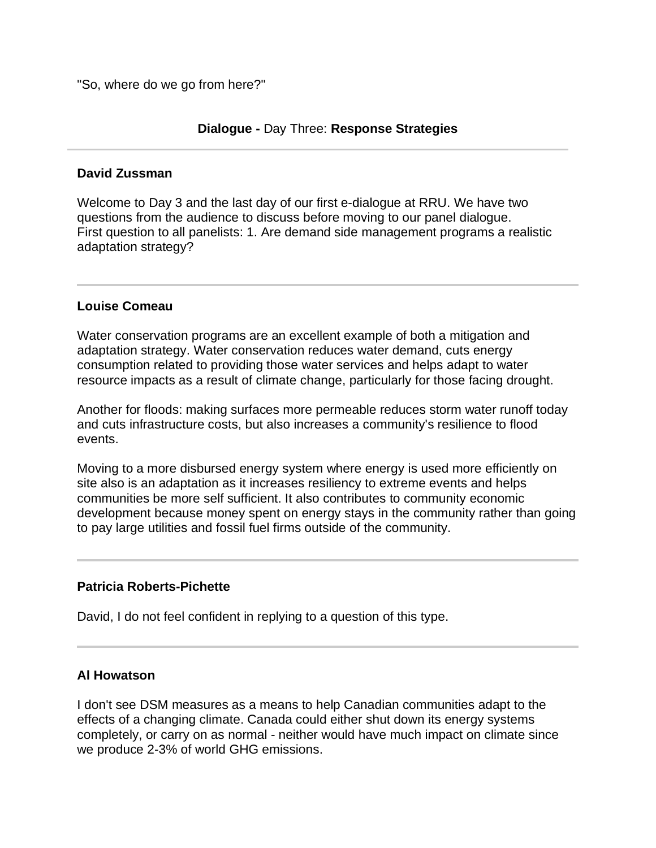"So, where do we go from here?"

## **Dialogue -** Day Three: **Response Strategies**

### **David Zussman**

Welcome to Day 3 and the last day of our first e-dialogue at RRU. We have two questions from the audience to discuss before moving to our panel dialogue. First question to all panelists: 1. Are demand side management programs a realistic adaptation strategy?

#### **Louise Comeau**

Water conservation programs are an excellent example of both a mitigation and adaptation strategy. Water conservation reduces water demand, cuts energy consumption related to providing those water services and helps adapt to water resource impacts as a result of climate change, particularly for those facing drought.

Another for floods: making surfaces more permeable reduces storm water runoff today and cuts infrastructure costs, but also increases a community's resilience to flood events.

Moving to a more disbursed energy system where energy is used more efficiently on site also is an adaptation as it increases resiliency to extreme events and helps communities be more self sufficient. It also contributes to community economic development because money spent on energy stays in the community rather than going to pay large utilities and fossil fuel firms outside of the community.

### **Patricia Roberts-Pichette**

David, I do not feel confident in replying to a question of this type.

### **Al Howatson**

l

j

I don't see DSM measures as a means to help Canadian communities adapt to the effects of a changing climate. Canada could either shut down its energy systems completely, or carry on as normal - neither would have much impact on climate since we produce 2-3% of world GHG emissions.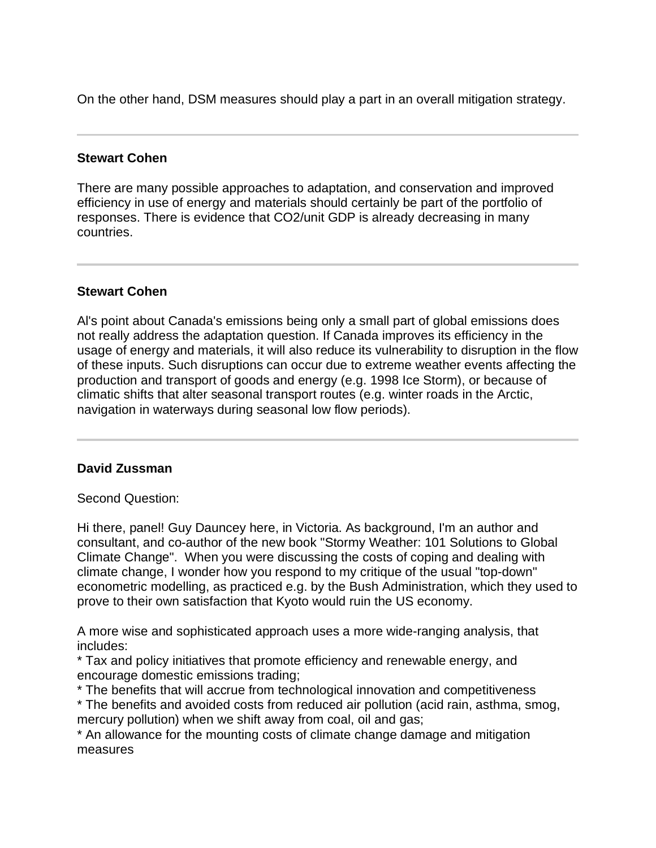On the other hand, DSM measures should play a part in an overall mitigation strategy.

# **Stewart Cohen**

l

There are many possible approaches to adaptation, and conservation and improved efficiency in use of energy and materials should certainly be part of the portfolio of responses. There is evidence that CO2/unit GDP is already decreasing in many countries.

# **Stewart Cohen**

Al's point about Canada's emissions being only a small part of global emissions does not really address the adaptation question. If Canada improves its efficiency in the usage of energy and materials, it will also reduce its vulnerability to disruption in the flow of these inputs. Such disruptions can occur due to extreme weather events affecting the production and transport of goods and energy (e.g. 1998 Ice Storm), or because of climatic shifts that alter seasonal transport routes (e.g. winter roads in the Arctic, navigation in waterways during seasonal low flow periods).

## **David Zussman**

Second Question:

Hi there, panel! Guy Dauncey here, in Victoria. As background, I'm an author and consultant, and co-author of the new book "Stormy Weather: 101 Solutions to Global Climate Change". When you were discussing the costs of coping and dealing with climate change, I wonder how you respond to my critique of the usual "top-down" econometric modelling, as practiced e.g. by the Bush Administration, which they used to prove to their own satisfaction that Kyoto would ruin the US economy.

A more wise and sophisticated approach uses a more wide-ranging analysis, that includes:

\* Tax and policy initiatives that promote efficiency and renewable energy, and encourage domestic emissions trading;

\* The benefits that will accrue from technological innovation and competitiveness

\* The benefits and avoided costs from reduced air pollution (acid rain, asthma, smog, mercury pollution) when we shift away from coal, oil and gas;

\* An allowance for the mounting costs of climate change damage and mitigation measures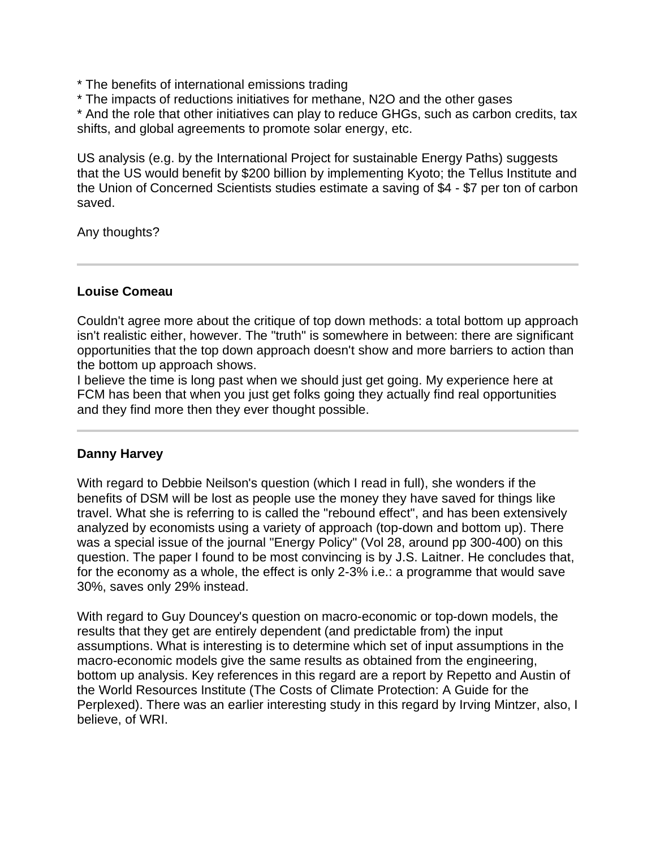\* The benefits of international emissions trading

\* The impacts of reductions initiatives for methane, N2O and the other gases

\* And the role that other initiatives can play to reduce GHGs, such as carbon credits, tax shifts, and global agreements to promote solar energy, etc.

US analysis (e.g. by the International Project for sustainable Energy Paths) suggests that the US would benefit by \$200 billion by implementing Kyoto; the Tellus Institute and the Union of Concerned Scientists studies estimate a saving of \$4 - \$7 per ton of carbon saved.

Any thoughts?

l

 $\overline{a}$ 

## **Louise Comeau**

Couldn't agree more about the critique of top down methods: a total bottom up approach isn't realistic either, however. The "truth" is somewhere in between: there are significant opportunities that the top down approach doesn't show and more barriers to action than the bottom up approach shows.

I believe the time is long past when we should just get going. My experience here at FCM has been that when you just get folks going they actually find real opportunities and they find more then they ever thought possible.

## **Danny Harvey**

With regard to Debbie Neilson's question (which I read in full), she wonders if the benefits of DSM will be lost as people use the money they have saved for things like travel. What she is referring to is called the "rebound effect", and has been extensively analyzed by economists using a variety of approach (top-down and bottom up). There was a special issue of the journal "Energy Policy" (Vol 28, around pp 300-400) on this question. The paper I found to be most convincing is by J.S. Laitner. He concludes that, for the economy as a whole, the effect is only 2-3% i.e.: a programme that would save 30%, saves only 29% instead.

With regard to Guy Douncey's question on macro-economic or top-down models, the results that they get are entirely dependent (and predictable from) the input assumptions. What is interesting is to determine which set of input assumptions in the macro-economic models give the same results as obtained from the engineering, bottom up analysis. Key references in this regard are a report by Repetto and Austin of the World Resources Institute (The Costs of Climate Protection: A Guide for the Perplexed). There was an earlier interesting study in this regard by Irving Mintzer, also, I believe, of WRI.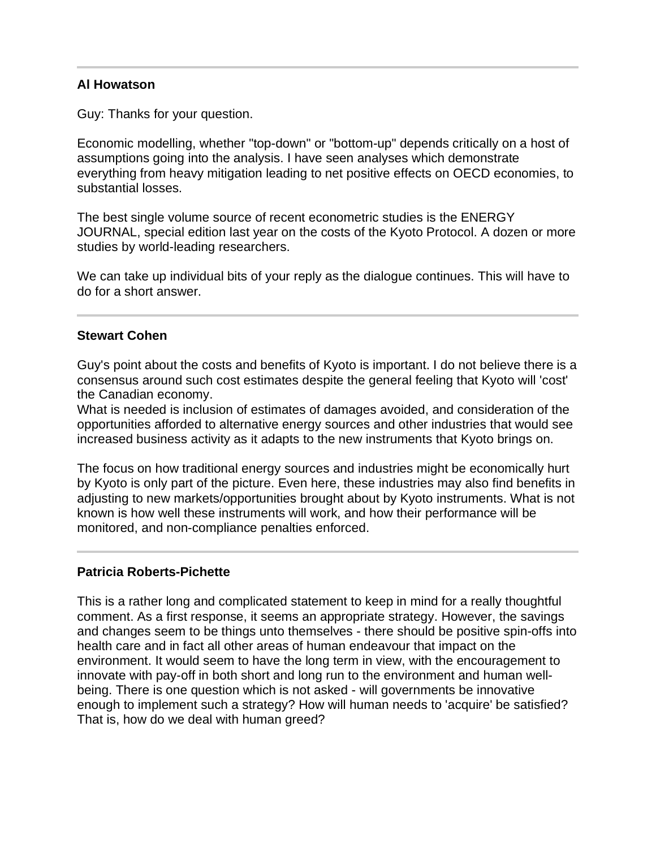## **Al Howatson**

Guy: Thanks for your question.

Economic modelling, whether "top-down" or "bottom-up" depends critically on a host of assumptions going into the analysis. I have seen analyses which demonstrate everything from heavy mitigation leading to net positive effects on OECD economies, to substantial losses.

The best single volume source of recent econometric studies is the ENERGY JOURNAL, special edition last year on the costs of the Kyoto Protocol. A dozen or more studies by world-leading researchers.

We can take up individual bits of your reply as the dialogue continues. This will have to do for a short answer.

#### Ī **Stewart Cohen**

Guy's point about the costs and benefits of Kyoto is important. I do not believe there is a consensus around such cost estimates despite the general feeling that Kyoto will 'cost' the Canadian economy.

What is needed is inclusion of estimates of damages avoided, and consideration of the opportunities afforded to alternative energy sources and other industries that would see increased business activity as it adapts to the new instruments that Kyoto brings on.

The focus on how traditional energy sources and industries might be economically hurt by Kyoto is only part of the picture. Even here, these industries may also find benefits in adjusting to new markets/opportunities brought about by Kyoto instruments. What is not known is how well these instruments will work, and how their performance will be monitored, and non-compliance penalties enforced.

### **Patricia Roberts-Pichette**

This is a rather long and complicated statement to keep in mind for a really thoughtful comment. As a first response, it seems an appropriate strategy. However, the savings and changes seem to be things unto themselves - there should be positive spin-offs into health care and in fact all other areas of human endeavour that impact on the environment. It would seem to have the long term in view, with the encouragement to innovate with pay-off in both short and long run to the environment and human wellbeing. There is one question which is not asked - will governments be innovative enough to implement such a strategy? How will human needs to 'acquire' be satisfied? That is, how do we deal with human greed?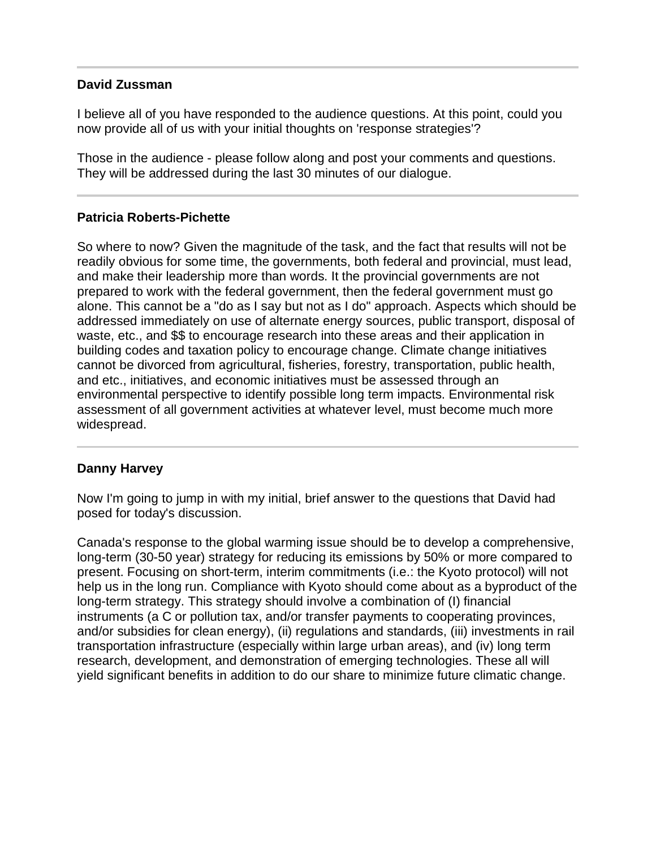## **David Zussman**

I believe all of you have responded to the audience questions. At this point, could you now provide all of us with your initial thoughts on 'response strategies'?

Those in the audience - please follow along and post your comments and questions. They will be addressed during the last 30 minutes of our dialogue.

## **Patricia Roberts-Pichette**

So where to now? Given the magnitude of the task, and the fact that results will not be readily obvious for some time, the governments, both federal and provincial, must lead, and make their leadership more than words. It the provincial governments are not prepared to work with the federal government, then the federal government must go alone. This cannot be a "do as I say but not as I do" approach. Aspects which should be addressed immediately on use of alternate energy sources, public transport, disposal of waste, etc., and \$\$ to encourage research into these areas and their application in building codes and taxation policy to encourage change. Climate change initiatives cannot be divorced from agricultural, fisheries, forestry, transportation, public health, and etc., initiatives, and economic initiatives must be assessed through an environmental perspective to identify possible long term impacts. Environmental risk assessment of all government activities at whatever level, must become much more widespread.

### **Danny Harvey**

Now I'm going to jump in with my initial, brief answer to the questions that David had posed for today's discussion.

Canada's response to the global warming issue should be to develop a comprehensive, long-term (30-50 year) strategy for reducing its emissions by 50% or more compared to present. Focusing on short-term, interim commitments (i.e.: the Kyoto protocol) will not help us in the long run. Compliance with Kyoto should come about as a byproduct of the long-term strategy. This strategy should involve a combination of (I) financial instruments (a C or pollution tax, and/or transfer payments to cooperating provinces, and/or subsidies for clean energy), (ii) regulations and standards, (iii) investments in rail transportation infrastructure (especially within large urban areas), and (iv) long term research, development, and demonstration of emerging technologies. These all will yield significant benefits in addition to do our share to minimize future climatic change.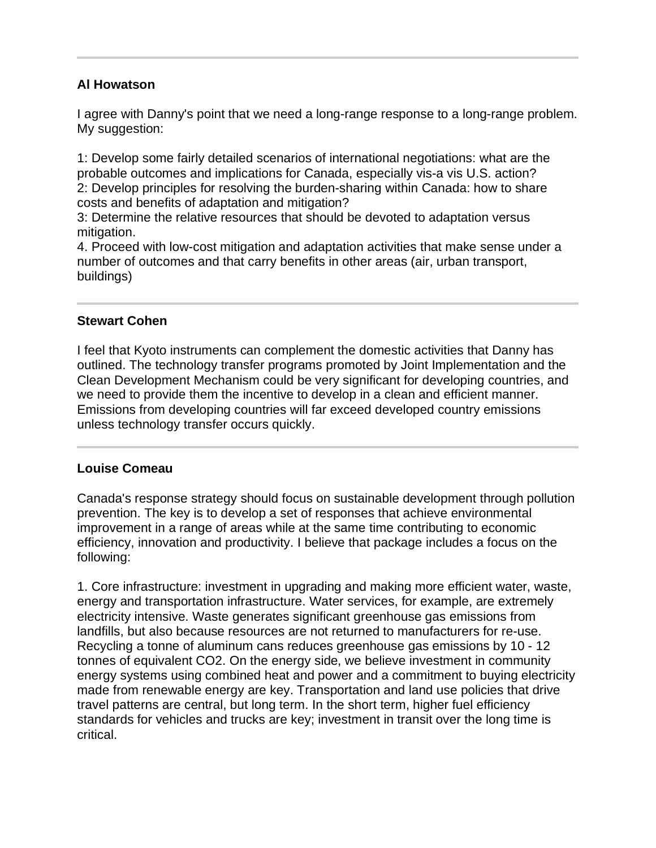# **Al Howatson**

I agree with Danny's point that we need a long-range response to a long-range problem. My suggestion:

1: Develop some fairly detailed scenarios of international negotiations: what are the probable outcomes and implications for Canada, especially vis-a vis U.S. action? 2: Develop principles for resolving the burden-sharing within Canada: how to share costs and benefits of adaptation and mitigation?

3: Determine the relative resources that should be devoted to adaptation versus mitigation.

4. Proceed with low-cost mitigation and adaptation activities that make sense under a number of outcomes and that carry benefits in other areas (air, urban transport, buildings)

# **Stewart Cohen**

j

I feel that Kyoto instruments can complement the domestic activities that Danny has outlined. The technology transfer programs promoted by Joint Implementation and the Clean Development Mechanism could be very significant for developing countries, and we need to provide them the incentive to develop in a clean and efficient manner. Emissions from developing countries will far exceed developed country emissions unless technology transfer occurs quickly.

## **Louise Comeau**

Canada's response strategy should focus on sustainable development through pollution prevention. The key is to develop a set of responses that achieve environmental improvement in a range of areas while at the same time contributing to economic efficiency, innovation and productivity. I believe that package includes a focus on the following:

1. Core infrastructure: investment in upgrading and making more efficient water, waste, energy and transportation infrastructure. Water services, for example, are extremely electricity intensive. Waste generates significant greenhouse gas emissions from landfills, but also because resources are not returned to manufacturers for re-use. Recycling a tonne of aluminum cans reduces greenhouse gas emissions by 10 - 12 tonnes of equivalent CO2. On the energy side, we believe investment in community energy systems using combined heat and power and a commitment to buying electricity made from renewable energy are key. Transportation and land use policies that drive travel patterns are central, but long term. In the short term, higher fuel efficiency standards for vehicles and trucks are key; investment in transit over the long time is critical.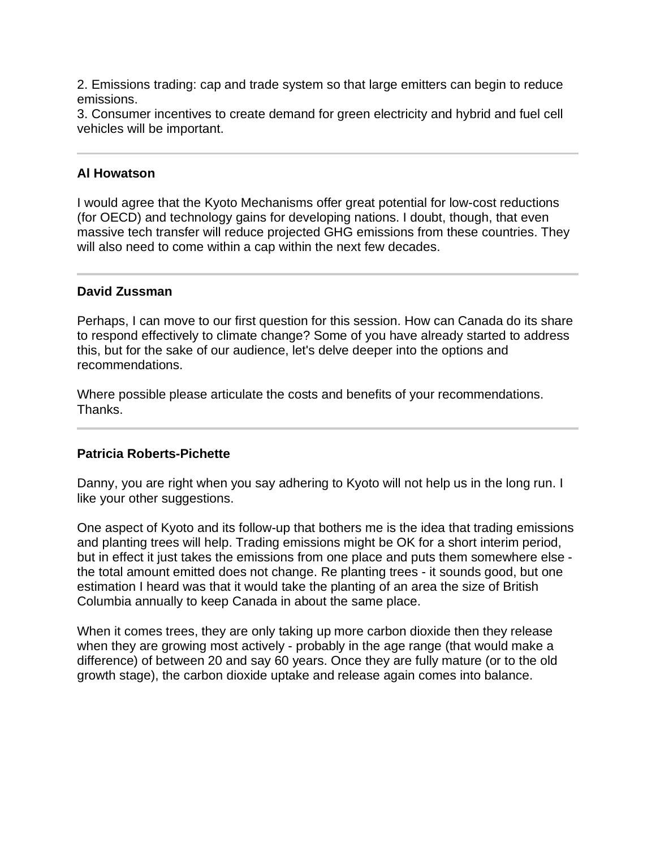2. Emissions trading: cap and trade system so that large emitters can begin to reduce emissions.

3. Consumer incentives to create demand for green electricity and hybrid and fuel cell vehicles will be important.

## **Al Howatson**

Ī

ı

I would agree that the Kyoto Mechanisms offer great potential for low-cost reductions (for OECD) and technology gains for developing nations. I doubt, though, that even massive tech transfer will reduce projected GHG emissions from these countries. They will also need to come within a cap within the next few decades.

### **David Zussman**

Perhaps, I can move to our first question for this session. How can Canada do its share to respond effectively to climate change? Some of you have already started to address this, but for the sake of our audience, let's delve deeper into the options and recommendations.

Where possible please articulate the costs and benefits of your recommendations. Thanks.

## **Patricia Roberts-Pichette**

Danny, you are right when you say adhering to Kyoto will not help us in the long run. I like your other suggestions.

One aspect of Kyoto and its follow-up that bothers me is the idea that trading emissions and planting trees will help. Trading emissions might be OK for a short interim period, but in effect it just takes the emissions from one place and puts them somewhere else the total amount emitted does not change. Re planting trees - it sounds good, but one estimation I heard was that it would take the planting of an area the size of British Columbia annually to keep Canada in about the same place.

When it comes trees, they are only taking up more carbon dioxide then they release when they are growing most actively - probably in the age range (that would make a difference) of between 20 and say 60 years. Once they are fully mature (or to the old growth stage), the carbon dioxide uptake and release again comes into balance.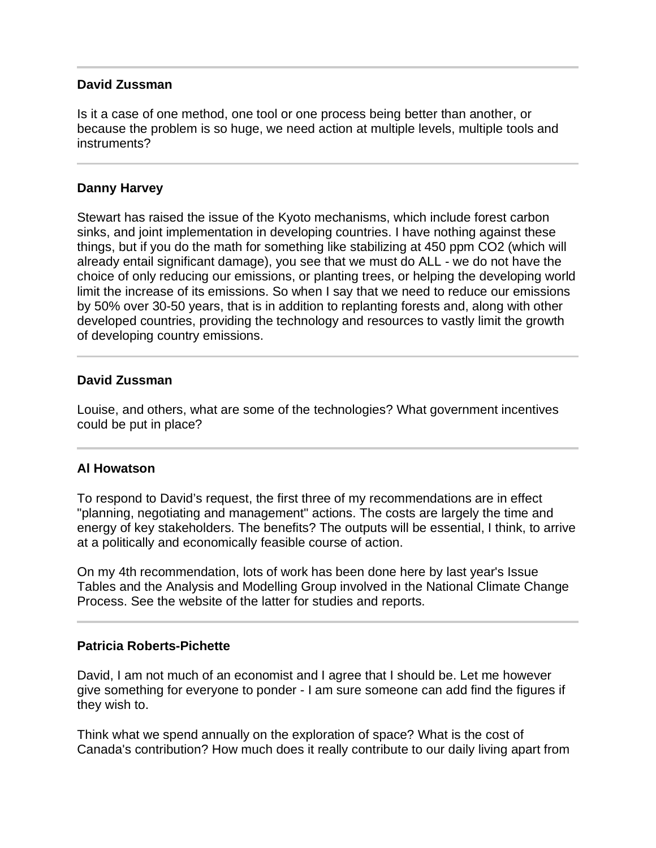## **David Zussman**

Is it a case of one method, one tool or one process being better than another, or because the problem is so huge, we need action at multiple levels, multiple tools and instruments?

## **Danny Harvey**

l

Stewart has raised the issue of the Kyoto mechanisms, which include forest carbon sinks, and joint implementation in developing countries. I have nothing against these things, but if you do the math for something like stabilizing at 450 ppm CO2 (which will already entail significant damage), you see that we must do ALL - we do not have the choice of only reducing our emissions, or planting trees, or helping the developing world limit the increase of its emissions. So when I say that we need to reduce our emissions by 50% over 30-50 years, that is in addition to replanting forests and, along with other developed countries, providing the technology and resources to vastly limit the growth of developing country emissions.

## **David Zussman**

Louise, and others, what are some of the technologies? What government incentives could be put in place?

### **Al Howatson**

l

To respond to David's request, the first three of my recommendations are in effect "planning, negotiating and management" actions. The costs are largely the time and energy of key stakeholders. The benefits? The outputs will be essential, I think, to arrive at a politically and economically feasible course of action.

On my 4th recommendation, lots of work has been done here by last year's Issue Tables and the Analysis and Modelling Group involved in the National Climate Change Process. See the website of the latter for studies and reports.

### **Patricia Roberts-Pichette**

David, I am not much of an economist and I agree that I should be. Let me however give something for everyone to ponder - I am sure someone can add find the figures if they wish to.

Think what we spend annually on the exploration of space? What is the cost of Canada's contribution? How much does it really contribute to our daily living apart from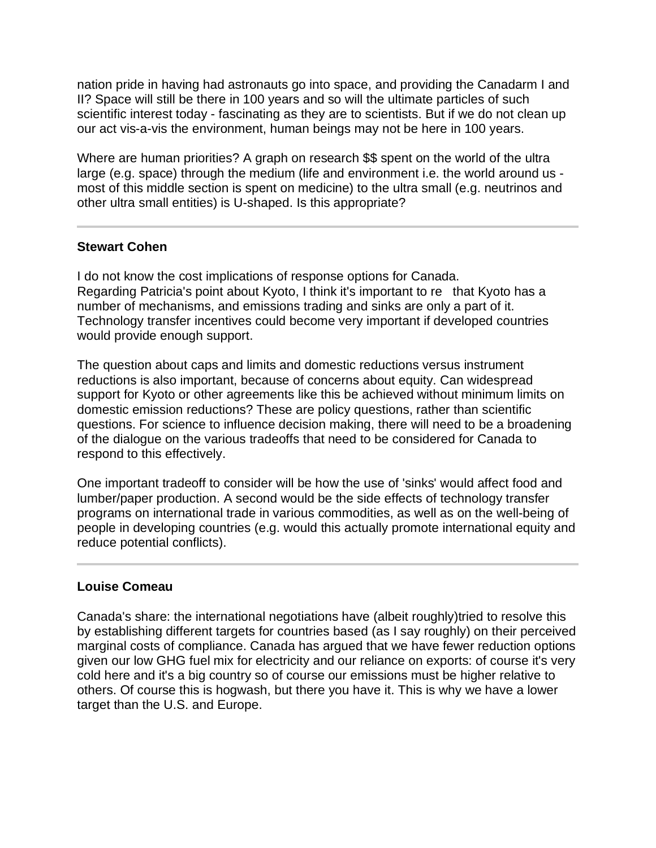nation pride in having had astronauts go into space, and providing the Canadarm I and II? Space will still be there in 100 years and so will the ultimate particles of such scientific interest today - fascinating as they are to scientists. But if we do not clean up our act vis-a-vis the environment, human beings may not be here in 100 years.

Where are human priorities? A graph on research \$\$ spent on the world of the ultra large (e.g. space) through the medium (life and environment i.e. the world around us most of this middle section is spent on medicine) to the ultra small (e.g. neutrinos and other ultra small entities) is U-shaped. Is this appropriate?

### Ī **Stewart Cohen**

I do not know the cost implications of response options for Canada. Regarding Patricia's point about Kyoto, I think it's important to re that Kyoto has a number of mechanisms, and emissions trading and sinks are only a part of it. Technology transfer incentives could become very important if developed countries would provide enough support.

The question about caps and limits and domestic reductions versus instrument reductions is also important, because of concerns about equity. Can widespread support for Kyoto or other agreements like this be achieved without minimum limits on domestic emission reductions? These are policy questions, rather than scientific questions. For science to influence decision making, there will need to be a broadening of the dialogue on the various tradeoffs that need to be considered for Canada to respond to this effectively.

One important tradeoff to consider will be how the use of 'sinks' would affect food and lumber/paper production. A second would be the side effects of technology transfer programs on international trade in various commodities, as well as on the well-being of people in developing countries (e.g. would this actually promote international equity and reduce potential conflicts).

## **Louise Comeau**

Canada's share: the international negotiations have (albeit roughly)tried to resolve this by establishing different targets for countries based (as I say roughly) on their perceived marginal costs of compliance. Canada has argued that we have fewer reduction options given our low GHG fuel mix for electricity and our reliance on exports: of course it's very cold here and it's a big country so of course our emissions must be higher relative to others. Of course this is hogwash, but there you have it. This is why we have a lower target than the U.S. and Europe.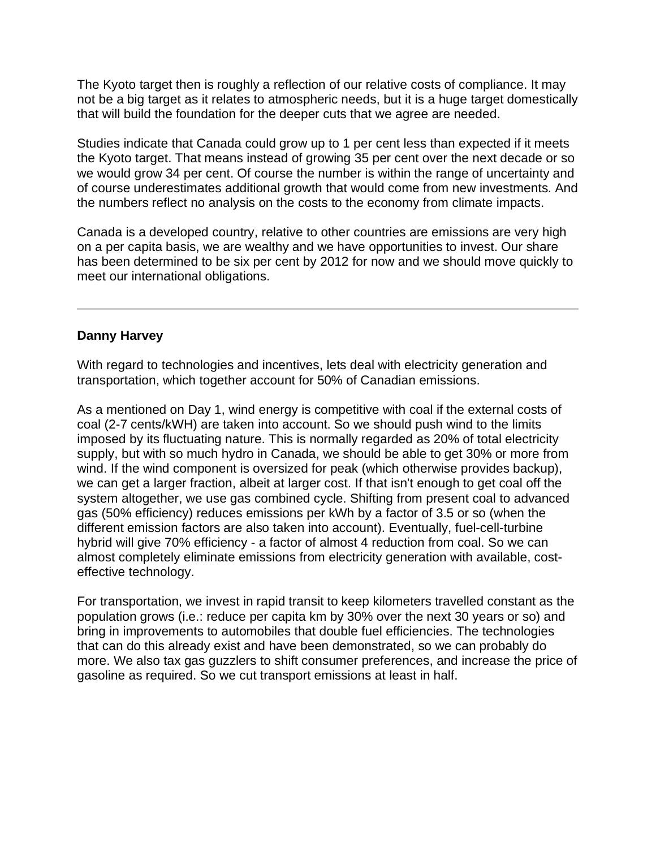The Kyoto target then is roughly a reflection of our relative costs of compliance. It may not be a big target as it relates to atmospheric needs, but it is a huge target domestically that will build the foundation for the deeper cuts that we agree are needed.

Studies indicate that Canada could grow up to 1 per cent less than expected if it meets the Kyoto target. That means instead of growing 35 per cent over the next decade or so we would grow 34 per cent. Of course the number is within the range of uncertainty and of course underestimates additional growth that would come from new investments. And the numbers reflect no analysis on the costs to the economy from climate impacts.

Canada is a developed country, relative to other countries are emissions are very high on a per capita basis, we are wealthy and we have opportunities to invest. Our share has been determined to be six per cent by 2012 for now and we should move quickly to meet our international obligations.

## **Danny Harvey**

With regard to technologies and incentives, lets deal with electricity generation and transportation, which together account for 50% of Canadian emissions.

As a mentioned on Day 1, wind energy is competitive with coal if the external costs of coal (2-7 cents/kWH) are taken into account. So we should push wind to the limits imposed by its fluctuating nature. This is normally regarded as 20% of total electricity supply, but with so much hydro in Canada, we should be able to get 30% or more from wind. If the wind component is oversized for peak (which otherwise provides backup), we can get a larger fraction, albeit at larger cost. If that isn't enough to get coal off the system altogether, we use gas combined cycle. Shifting from present coal to advanced gas (50% efficiency) reduces emissions per kWh by a factor of 3.5 or so (when the different emission factors are also taken into account). Eventually, fuel-cell-turbine hybrid will give 70% efficiency - a factor of almost 4 reduction from coal. So we can almost completely eliminate emissions from electricity generation with available, costeffective technology.

For transportation, we invest in rapid transit to keep kilometers travelled constant as the population grows (i.e.: reduce per capita km by 30% over the next 30 years or so) and bring in improvements to automobiles that double fuel efficiencies. The technologies that can do this already exist and have been demonstrated, so we can probably do more. We also tax gas guzzlers to shift consumer preferences, and increase the price of gasoline as required. So we cut transport emissions at least in half.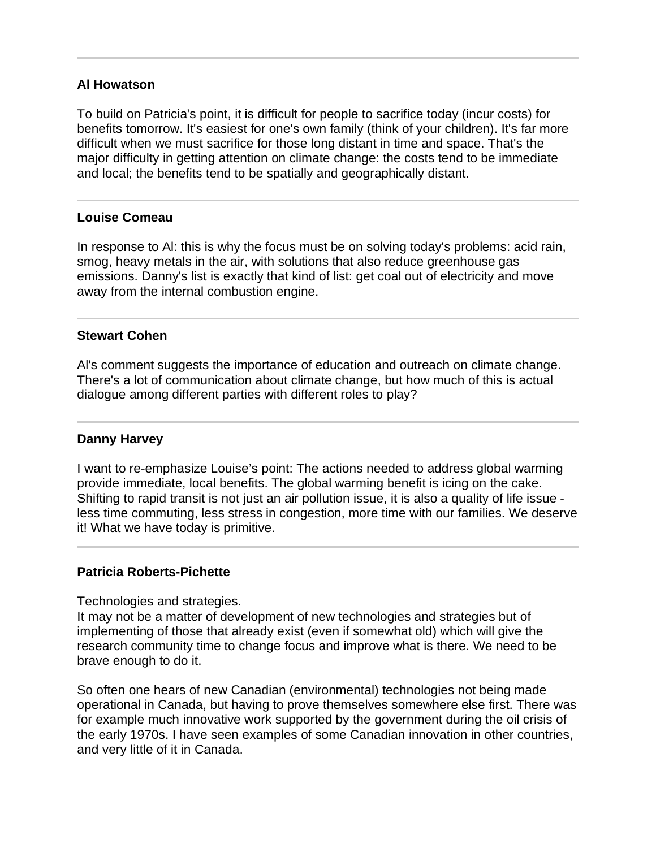## **Al Howatson**

To build on Patricia's point, it is difficult for people to sacrifice today (incur costs) for benefits tomorrow. It's easiest for one's own family (think of your children). It's far more difficult when we must sacrifice for those long distant in time and space. That's the major difficulty in getting attention on climate change: the costs tend to be immediate and local; the benefits tend to be spatially and geographically distant.

## **Louise Comeau**

In response to AI: this is why the focus must be on solving today's problems: acid rain, smog, heavy metals in the air, with solutions that also reduce greenhouse gas emissions. Danny's list is exactly that kind of list: get coal out of electricity and move away from the internal combustion engine.

## **Stewart Cohen**

Al's comment suggests the importance of education and outreach on climate change. There's a lot of communication about climate change, but how much of this is actual dialogue among different parties with different roles to play?

### **Danny Harvey**

j

l

I want to re-emphasize Louise's point: The actions needed to address global warming provide immediate, local benefits. The global warming benefit is icing on the cake. Shifting to rapid transit is not just an air pollution issue, it is also a quality of life issue less time commuting, less stress in congestion, more time with our families. We deserve it! What we have today is primitive.

### **Patricia Roberts-Pichette**

Technologies and strategies.

It may not be a matter of development of new technologies and strategies but of implementing of those that already exist (even if somewhat old) which will give the research community time to change focus and improve what is there. We need to be brave enough to do it.

So often one hears of new Canadian (environmental) technologies not being made operational in Canada, but having to prove themselves somewhere else first. There was for example much innovative work supported by the government during the oil crisis of the early 1970s. I have seen examples of some Canadian innovation in other countries, and very little of it in Canada.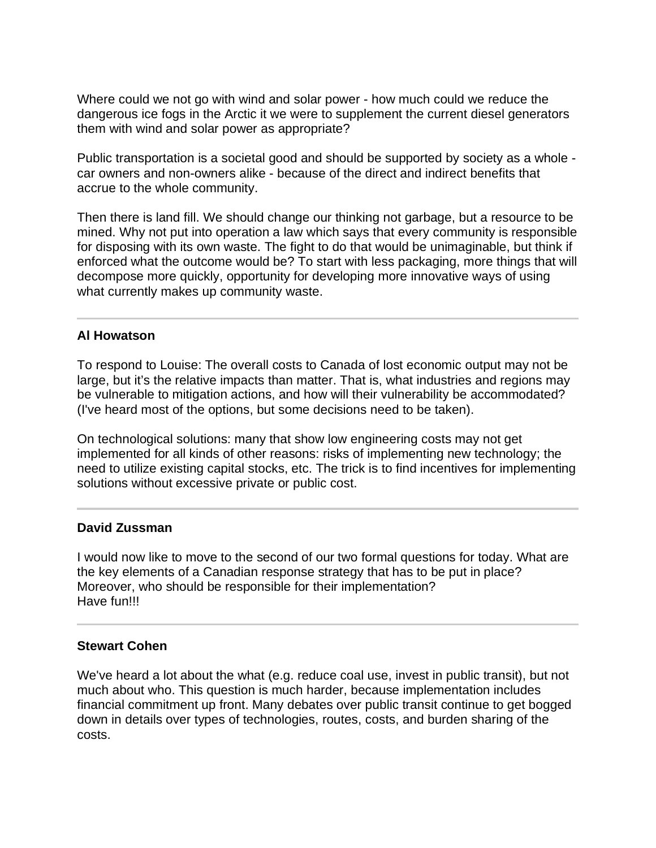Where could we not go with wind and solar power - how much could we reduce the dangerous ice fogs in the Arctic it we were to supplement the current diesel generators them with wind and solar power as appropriate?

Public transportation is a societal good and should be supported by society as a whole car owners and non-owners alike - because of the direct and indirect benefits that accrue to the whole community.

Then there is land fill. We should change our thinking not garbage, but a resource to be mined. Why not put into operation a law which says that every community is responsible for disposing with its own waste. The fight to do that would be unimaginable, but think if enforced what the outcome would be? To start with less packaging, more things that will decompose more quickly, opportunity for developing more innovative ways of using what currently makes up community waste.

## **Al Howatson**

j

To respond to Louise: The overall costs to Canada of lost economic output may not be large, but it's the relative impacts than matter. That is, what industries and regions may be vulnerable to mitigation actions, and how will their vulnerability be accommodated? (I've heard most of the options, but some decisions need to be taken).

On technological solutions: many that show low engineering costs may not get implemented for all kinds of other reasons: risks of implementing new technology; the need to utilize existing capital stocks, etc. The trick is to find incentives for implementing solutions without excessive private or public cost.

### **David Zussman**

I would now like to move to the second of our two formal questions for today. What are the key elements of a Canadian response strategy that has to be put in place? Moreover, who should be responsible for their implementation? Have fun!!!

### **Stewart Cohen**

We've heard a lot about the what (e.g. reduce coal use, invest in public transit), but not much about who. This question is much harder, because implementation includes financial commitment up front. Many debates over public transit continue to get bogged down in details over types of technologies, routes, costs, and burden sharing of the costs.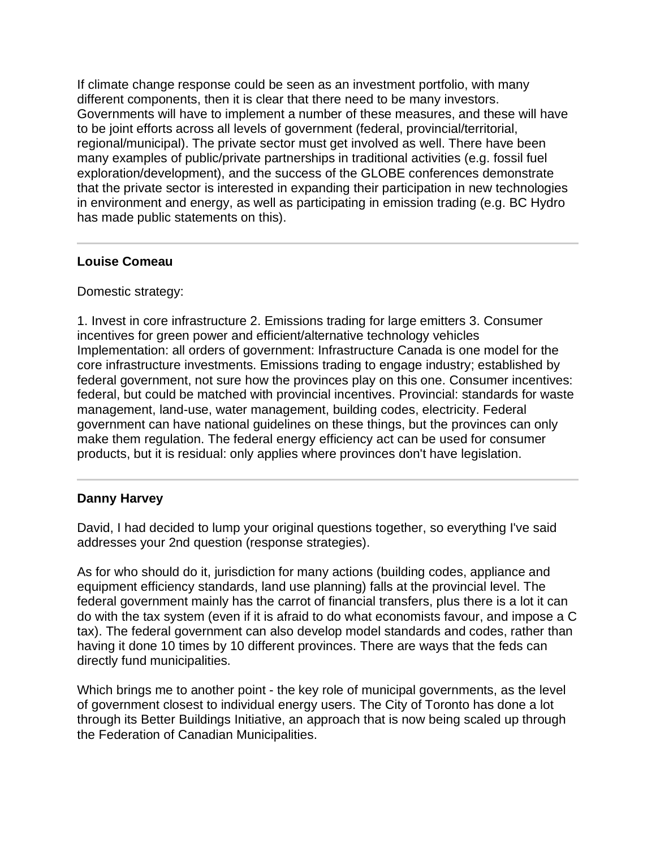If climate change response could be seen as an investment portfolio, with many different components, then it is clear that there need to be many investors. Governments will have to implement a number of these measures, and these will have to be joint efforts across all levels of government (federal, provincial/territorial, regional/municipal). The private sector must get involved as well. There have been many examples of public/private partnerships in traditional activities (e.g. fossil fuel exploration/development), and the success of the GLOBE conferences demonstrate that the private sector is interested in expanding their participation in new technologies in environment and energy, as well as participating in emission trading (e.g. BC Hydro has made public statements on this).

# **Louise Comeau**

I

## Domestic strategy:

1. Invest in core infrastructure 2. Emissions trading for large emitters 3. Consumer incentives for green power and efficient/alternative technology vehicles Implementation: all orders of government: Infrastructure Canada is one model for the core infrastructure investments. Emissions trading to engage industry; established by federal government, not sure how the provinces play on this one. Consumer incentives: federal, but could be matched with provincial incentives. Provincial: standards for waste management, land-use, water management, building codes, electricity. Federal government can have national guidelines on these things, but the provinces can only make them regulation. The federal energy efficiency act can be used for consumer products, but it is residual: only applies where provinces don't have legislation.

## **Danny Harvey**

I

David, I had decided to lump your original questions together, so everything I've said addresses your 2nd question (response strategies).

As for who should do it, jurisdiction for many actions (building codes, appliance and equipment efficiency standards, land use planning) falls at the provincial level. The federal government mainly has the carrot of financial transfers, plus there is a lot it can do with the tax system (even if it is afraid to do what economists favour, and impose a C tax). The federal government can also develop model standards and codes, rather than having it done 10 times by 10 different provinces. There are ways that the feds can directly fund municipalities.

Which brings me to another point - the key role of municipal governments, as the level of government closest to individual energy users. The City of Toronto has done a lot through its Better Buildings Initiative, an approach that is now being scaled up through the Federation of Canadian Municipalities.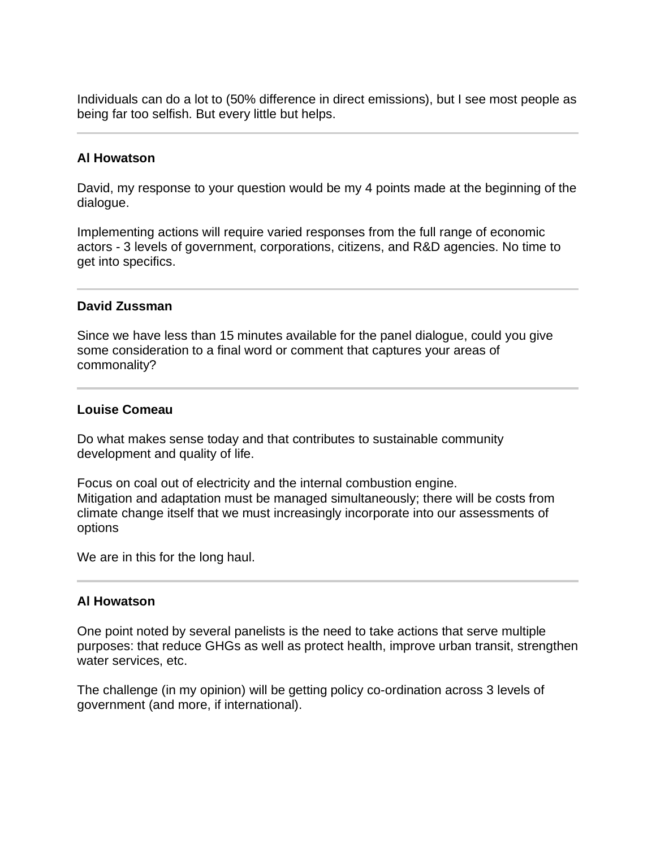Individuals can do a lot to (50% difference in direct emissions), but I see most people as being far too selfish. But every little but helps.

## **Al Howatson**

l

David, my response to your question would be my 4 points made at the beginning of the dialogue.

Implementing actions will require varied responses from the full range of economic actors - 3 levels of government, corporations, citizens, and R&D agencies. No time to get into specifics.

### **David Zussman**

Since we have less than 15 minutes available for the panel dialogue, could you give some consideration to a final word or comment that captures your areas of commonality?

### **Louise Comeau**

Do what makes sense today and that contributes to sustainable community development and quality of life.

Focus on coal out of electricity and the internal combustion engine. Mitigation and adaptation must be managed simultaneously; there will be costs from climate change itself that we must increasingly incorporate into our assessments of options

We are in this for the long haul.

### **Al Howatson**

Ī

One point noted by several panelists is the need to take actions that serve multiple purposes: that reduce GHGs as well as protect health, improve urban transit, strengthen water services, etc.

The challenge (in my opinion) will be getting policy co-ordination across 3 levels of government (and more, if international).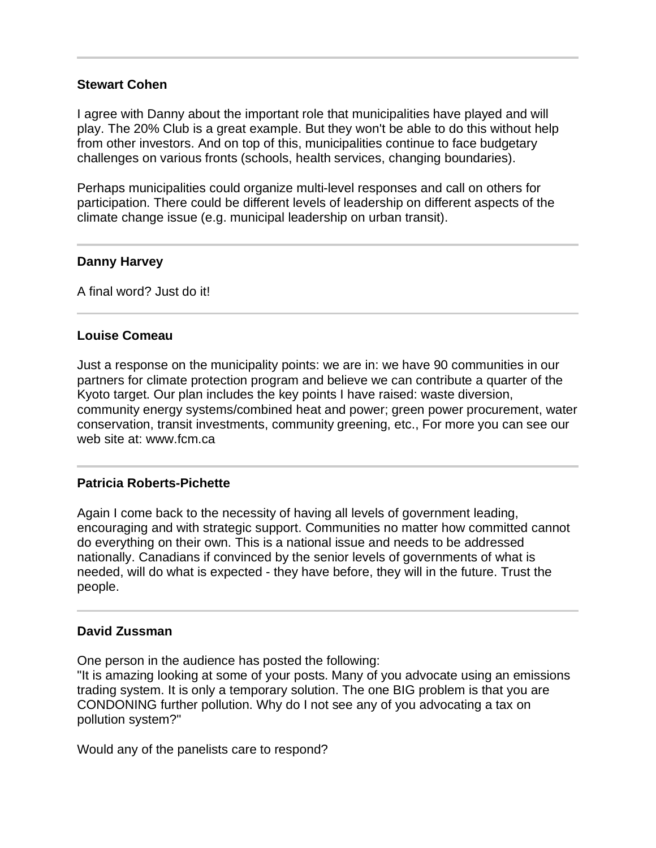### **Stewart Cohen**

I agree with Danny about the important role that municipalities have played and will play. The 20% Club is a great example. But they won't be able to do this without help from other investors. And on top of this, municipalities continue to face budgetary challenges on various fronts (schools, health services, changing boundaries).

Perhaps municipalities could organize multi-level responses and call on others for participation. There could be different levels of leadership on different aspects of the climate change issue (e.g. municipal leadership on urban transit).

## **Danny Harvey**

j

j

Ī

A final word? Just do it!

## **Louise Comeau**

Just a response on the municipality points: we are in: we have 90 communities in our partners for climate protection program and believe we can contribute a quarter of the Kyoto target. Our plan includes the key points I have raised: waste diversion, community energy systems/combined heat and power; green power procurement, water conservation, transit investments, community greening, etc., For more you can see our web site at: www.fcm.ca

### **Patricia Roberts-Pichette**

Again I come back to the necessity of having all levels of government leading, encouraging and with strategic support. Communities no matter how committed cannot do everything on their own. This is a national issue and needs to be addressed nationally. Canadians if convinced by the senior levels of governments of what is needed, will do what is expected - they have before, they will in the future. Trust the people.

### **David Zussman**

One person in the audience has posted the following:

"It is amazing looking at some of your posts. Many of you advocate using an emissions trading system. It is only a temporary solution. The one BIG problem is that you are CONDONING further pollution. Why do I not see any of you advocating a tax on pollution system?"

Would any of the panelists care to respond?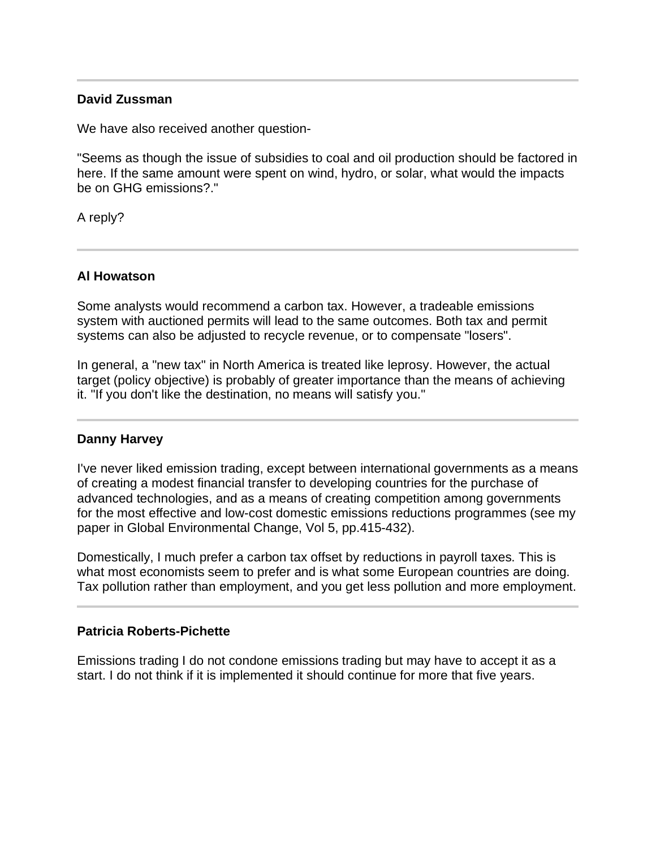## **David Zussman**

We have also received another question-

"Seems as though the issue of subsidies to coal and oil production should be factored in here. If the same amount were spent on wind, hydro, or solar, what would the impacts be on GHG emissions?."

A reply?

I

### **Al Howatson**

Some analysts would recommend a carbon tax. However, a tradeable emissions system with auctioned permits will lead to the same outcomes. Both tax and permit systems can also be adjusted to recycle revenue, or to compensate "losers".

In general, a "new tax" in North America is treated like leprosy. However, the actual target (policy objective) is probably of greater importance than the means of achieving it. "If you don't like the destination, no means will satisfy you."

### **Danny Harvey**

I

l

I've never liked emission trading, except between international governments as a means of creating a modest financial transfer to developing countries for the purchase of advanced technologies, and as a means of creating competition among governments for the most effective and low-cost domestic emissions reductions programmes (see my paper in Global Environmental Change, Vol 5, pp.415-432).

Domestically, I much prefer a carbon tax offset by reductions in payroll taxes. This is what most economists seem to prefer and is what some European countries are doing. Tax pollution rather than employment, and you get less pollution and more employment.

### **Patricia Roberts-Pichette**

Emissions trading I do not condone emissions trading but may have to accept it as a start. I do not think if it is implemented it should continue for more that five years.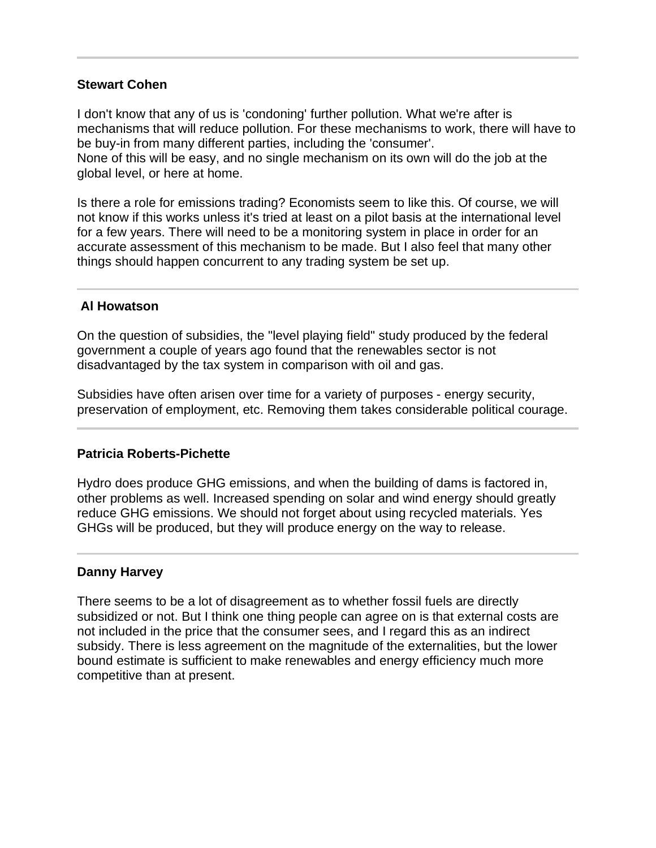## **Stewart Cohen**

I don't know that any of us is 'condoning' further pollution. What we're after is mechanisms that will reduce pollution. For these mechanisms to work, there will have to be buy-in from many different parties, including the 'consumer'. None of this will be easy, and no single mechanism on its own will do the job at the global level, or here at home.

Is there a role for emissions trading? Economists seem to like this. Of course, we will not know if this works unless it's tried at least on a pilot basis at the international level for a few years. There will need to be a monitoring system in place in order for an accurate assessment of this mechanism to be made. But I also feel that many other things should happen concurrent to any trading system be set up.

## **Al Howatson**

j

ı

I

On the question of subsidies, the "level playing field" study produced by the federal government a couple of years ago found that the renewables sector is not disadvantaged by the tax system in comparison with oil and gas.

Subsidies have often arisen over time for a variety of purposes - energy security, preservation of employment, etc. Removing them takes considerable political courage.

## **Patricia Roberts-Pichette**

Hydro does produce GHG emissions, and when the building of dams is factored in, other problems as well. Increased spending on solar and wind energy should greatly reduce GHG emissions. We should not forget about using recycled materials. Yes GHGs will be produced, but they will produce energy on the way to release.

### **Danny Harvey**

There seems to be a lot of disagreement as to whether fossil fuels are directly subsidized or not. But I think one thing people can agree on is that external costs are not included in the price that the consumer sees, and I regard this as an indirect subsidy. There is less agreement on the magnitude of the externalities, but the lower bound estimate is sufficient to make renewables and energy efficiency much more competitive than at present.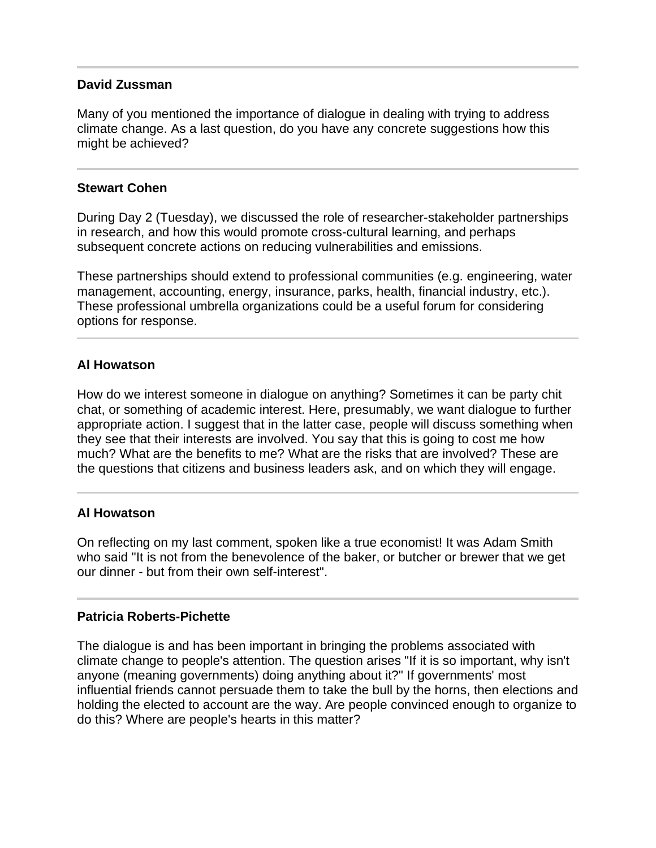## **David Zussman**

Many of you mentioned the importance of dialogue in dealing with trying to address climate change. As a last question, do you have any concrete suggestions how this might be achieved?

## **Stewart Cohen**

I

During Day 2 (Tuesday), we discussed the role of researcher-stakeholder partnerships in research, and how this would promote cross-cultural learning, and perhaps subsequent concrete actions on reducing vulnerabilities and emissions.

These partnerships should extend to professional communities (e.g. engineering, water management, accounting, energy, insurance, parks, health, financial industry, etc.). These professional umbrella organizations could be a useful forum for considering options for response.

## **Al Howatson**

How do we interest someone in dialogue on anything? Sometimes it can be party chit chat, or something of academic interest. Here, presumably, we want dialogue to further appropriate action. I suggest that in the latter case, people will discuss something when they see that their interests are involved. You say that this is going to cost me how much? What are the benefits to me? What are the risks that are involved? These are the questions that citizens and business leaders ask, and on which they will engage.

### **Al Howatson**

Ī

I

On reflecting on my last comment, spoken like a true economist! It was Adam Smith who said "It is not from the benevolence of the baker, or butcher or brewer that we get our dinner - but from their own self-interest".

### **Patricia Roberts-Pichette**

The dialogue is and has been important in bringing the problems associated with climate change to people's attention. The question arises "If it is so important, why isn't anyone (meaning governments) doing anything about it?" If governments' most influential friends cannot persuade them to take the bull by the horns, then elections and holding the elected to account are the way. Are people convinced enough to organize to do this? Where are people's hearts in this matter?